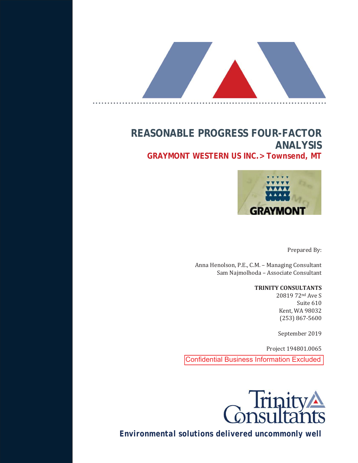

# **REASONABLE PROGRESS FOUR-FACTOR ANALYSIS GRAYMONT WESTERN US INC.> Townsend, MT**



Prepared By:

Anna Henolson, P.E., C.M. - Managing Consultant Sam Najmolhoda - Associate Consultant

#### **TRINITY CONSULTANTS**

20819 72nd Ave S Suite 610 Kent, WA 98032  $(253) 867 - 5600$ 

September 2019

Project 194801.0065

Confidential Business Information Excluded



*Environmental solutions delivered uncommonly well*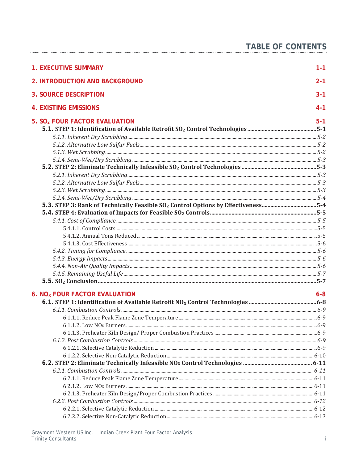| <b>1. EXECUTIVE SUMMARY</b>                                                                   | $1 - 1$ |
|-----------------------------------------------------------------------------------------------|---------|
| 2. INTRODUCTION AND BACKGROUND                                                                | $2 - 1$ |
| <b>3. SOURCE DESCRIPTION</b>                                                                  | $3 - 1$ |
| <b>4. EXISTING EMISSIONS</b>                                                                  | $4 - 1$ |
| 5. SO <sub>2</sub> FOUR FACTOR EVALUATION                                                     | $5-1$   |
|                                                                                               |         |
|                                                                                               |         |
|                                                                                               |         |
|                                                                                               |         |
|                                                                                               |         |
|                                                                                               |         |
|                                                                                               |         |
|                                                                                               |         |
|                                                                                               |         |
|                                                                                               |         |
| 5-3. STEP 3: Rank of Technically Feasible SO <sub>2</sub> Control Options by Effectiveness5-4 |         |
|                                                                                               |         |
|                                                                                               |         |
|                                                                                               |         |
|                                                                                               |         |
|                                                                                               |         |
|                                                                                               |         |
|                                                                                               |         |
|                                                                                               |         |
|                                                                                               |         |
|                                                                                               |         |
| 6. NO <sub>X</sub> FOUR FACTOR EVALUATION                                                     | $6 - 8$ |
|                                                                                               |         |
|                                                                                               |         |
|                                                                                               |         |
|                                                                                               |         |
|                                                                                               |         |
|                                                                                               |         |
|                                                                                               |         |
|                                                                                               |         |
|                                                                                               |         |
|                                                                                               |         |
|                                                                                               |         |
|                                                                                               |         |
|                                                                                               |         |
|                                                                                               |         |
|                                                                                               |         |
|                                                                                               |         |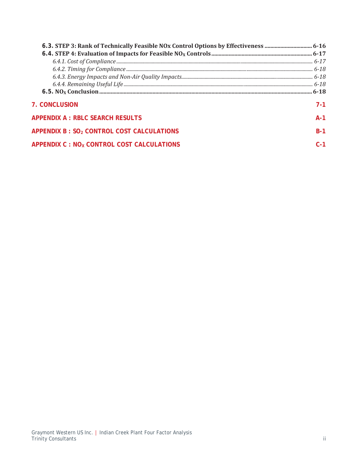| <b>7. CONCLUSION</b>                                   | 7-1     |
|--------------------------------------------------------|---------|
| <b>APPENDIX A : RBLC SEARCH RESULTS</b>                | $A-1$   |
| APPENDIX B : SO2 CONTROL COST CALCULATIONS             | $B-1$   |
| APPENDIX C : NO <sub>x</sub> CONTROL COST CALCULATIONS | $C - 1$ |
|                                                        |         |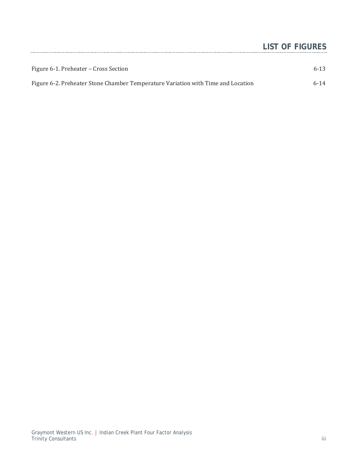# **LIST OF FIGURES**

| Figure 6-1. Preheater – Cross Section                                            | $6 - 13$ |
|----------------------------------------------------------------------------------|----------|
| Figure 6-2. Preheater Stone Chamber Temperature Variation with Time and Location | $6 - 14$ |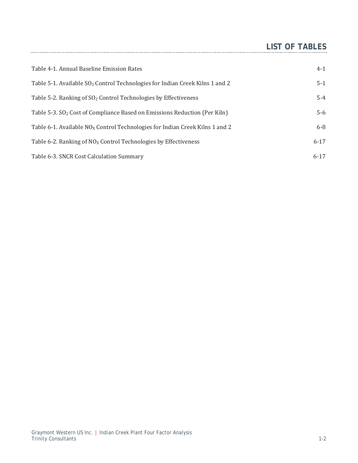# **LIST OF TABLES**

| Table 4-1. Annual Baseline Emission Rates                                                | $4-1$    |
|------------------------------------------------------------------------------------------|----------|
| Table 5-1. Available SO <sub>2</sub> Control Technologies for Indian Creek Kilns 1 and 2 | $5-1$    |
| Table 5-2. Ranking of $SO2$ Control Technologies by Effectiveness                        | $5 - 4$  |
| Table 5-3. SO <sub>2</sub> Cost of Compliance Based on Emissions Reduction (Per Kiln)    | $5-6$    |
| Table 6-1. Available $NQ_x$ Control Technologies for Indian Creek Kilns 1 and 2          | $6-8$    |
| Table 6-2. Ranking of $NOX$ Control Technologies by Effectiveness                        | $6 - 17$ |
| Table 6-3. SNCR Cost Calculation Summary                                                 | $6 - 17$ |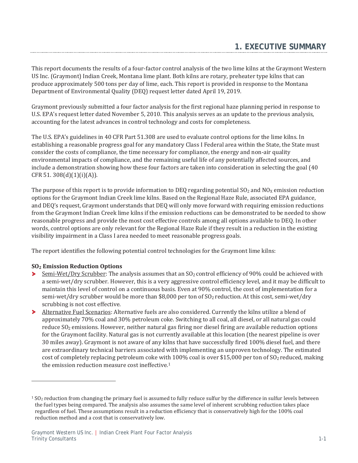This report documents the results of a four-factor control analysis of the two lime kilns at the Graymont Western US Inc. (Graymont) Indian Creek, Montana lime plant. Both kilns are rotary, preheater type kilns that can produce approximately 500 tons per day of lime, each. This report is provided in response to the Montana Department of Environmental Quality (DEQ) request letter dated April 19, 2019.

Graymont previously submitted a four factor analysis for the first regional haze planning period in response to U.S. EPA's request letter dated November 5, 2010. This analysis serves as an update to the previous analysis, accounting for the latest advances in control technology and costs for completeness.

The U.S. EPA's guidelines in 40 CFR Part 51.308 are used to evaluate control options for the lime kilns. In establishing a reasonable progress goal for any mandatory Class I Federal area within the State, the State must consider the costs of compliance, the time necessary for compliance, the energy and non-air quality environmental impacts of compliance, and the remaining useful life of any potentially affected sources, and include a demonstration showing how these four factors are taken into consideration in selecting the goal (40  $CFR 51.308(d)(1)(i)(A)).$ 

The purpose of this report is to provide information to DEQ regarding potential  $SO_2$  and  $NO<sub>X</sub>$  emission reduction options for the Graymont Indian Creek lime kilns. Based on the Regional Haze Rule, associated EPA guidance, and DEQ's request, Graymont understands that DEQ will only move forward with requiring emission reductions from the Graymont Indian Creek lime kilns if the emission reductions can be demonstrated to be needed to show reasonable progress and provide the most cost effective controls among all options available to DEQ. In other words, control options are only relevant for the Regional Haze Rule if they result in a reduction in the existing visibility impairment in a Class I area needed to meet reasonable progress goals.

The report identifies the following potential control technologies for the Graymont lime kilns:

#### **SO2 Emission Reduction Options**

- Semi-Wet/Dry Scrubber: The analysis assumes that an SO<sub>2</sub> control efficiency of 90% could be achieved with ≻ a semi-wet/dry scrubber. However, this is a very aggressive control efficiency level, and it may be difficult to maintain this level of control on a continuous basis. Even at 90% control, the cost of implementation for a semi-wet/dry scrubber would be more than \$8,000 per ton of SO<sub>2</sub> reduction. At this cost, semi-wet/dry scrubbing is not cost effective.
- > Alternative Fuel Scenarios: Alternative fuels are also considered. Currently the kilns utilize a blend of approximately 70% coal and 30% petroleum coke. Switching to all coal, all diesel, or all natural gas could reduce  $SO_2$  emissions. However, neither natural gas firing nor diesel firing are available reduction options for the Graymont facility. Natural gas is not currently available at this location (the nearest pipeline is over 30 miles away). Graymont is not aware of any kilns that have successfully fired 100% diesel fuel, and there are extraordinary technical barriers associated with implementing an unproven technology. The estimated cost of completely replacing petroleum coke with 100% coal is over \$15,000 per ton of  $SO_2$  reduced, making the emission reduction measure cost ineffective  $1$

 $1$  SO<sub>2</sub> reduction from changing the primary fuel is assumed to fully reduce sulfur by the difference in sulfur levels between the fuel types being compared. The analysis also assumes the same level of inherent scrubbing reduction takes place regardless of fuel. These assumptions result in a reduction efficiency that is conservatively high for the 100% coal reduction method and a cost that is conservatively low.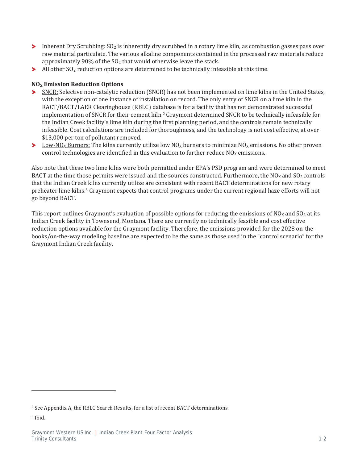- Inherent Dry Scrubbing: SO<sub>2</sub> is inherently dry scrubbed in a rotary lime kiln, as combustion gasses pass over raw material particulate. The various alkaline components contained in the processed raw materials reduce approximately 90% of the SO<sub>2</sub> that would otherwise leave the stack.
- All other  $SO_2$  reduction options are determined to be technically infeasible at this time. ×

#### **NO<sub>X</sub> Emission Reduction Options**

- SNCR: Selective non-catalytic reduction (SNCR) has not been implemented on lime kilns in the United States, ≻ with the exception of one instance of installation on record. The only entry of SNCR on a lime kiln in the RACT/BACT/LAER Clearinghouse (RBLC) database is for a facility that has not demonstrated successful implementation of SNCR for their cement kiln.<sup>2</sup> Graymont determined SNCR to be technically infeasible for the Indian Creek facility's lime kiln during the first planning period, and the controls remain technically infeasible. Cost calculations are included for thoroughness, and the technology is not cost effective, at over  $$13,000$  per ton of pollutant removed.
- Low-NO<sub>X</sub> Burners: The kilns currently utilize low NO<sub>X</sub> burners to minimize NO<sub>X</sub> emissions. No other proven control technologies are identified in this evaluation to further reduce  $NO<sub>x</sub>$  emissions.

Also note that these two lime kilns were both permitted under EPA's PSD program and were determined to meet BACT at the time those permits were issued and the sources constructed. Furthermore, the  $NO<sub>X</sub>$  and  $SO<sub>2</sub>$  controls that the Indian Creek kilns currently utilize are consistent with recent BACT determinations for new rotary preheater lime kilns.<sup>3</sup> Graymont expects that control programs under the current regional haze efforts will not go beyond BACT.

This report outlines Graymont's evaluation of possible options for reducing the emissions of  $NO<sub>X</sub>$  and  $SO<sub>2</sub>$  at its Indian Creek facility in Townsend, Montana. There are currently no technically feasible and cost effective reduction options available for the Graymont facility. Therefore, the emissions provided for the 2028 on-thebooks/on-the-way modeling baseline are expected to be the same as those used in the "control scenario" for the Graymont Indian Creek facility.

<sup>&</sup>lt;sup>2</sup> See Appendix A, the RBLC Search Results, for a list of recent BACT determinations.

<sup>&</sup>lt;sup>3</sup> Ibid.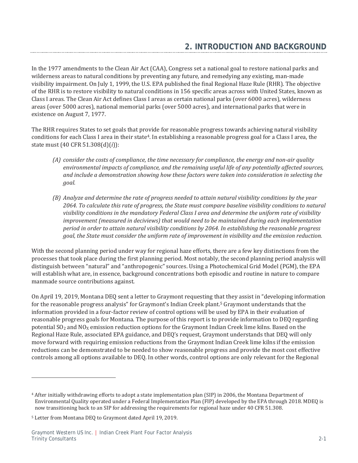In the 1977 amendments to the Clean Air Act (CAA), Congress set a national goal to restore national parks and wilderness areas to natural conditions by preventing any future, and remedying any existing, man-made visibility impairment. On July 1, 1999, the U.S. EPA published the final Regional Haze Rule (RHR). The objective of the RHR is to restore visibility to natural conditions in 156 specific areas across with United States, known as Class I areas. The Clean Air Act defines Class I areas as certain national parks (over 6000 acres), wilderness areas (over 5000 acres), national memorial parks (over 5000 acres), and international parks that were in existence on August 7, 1977.

The RHR requires States to set goals that provide for reasonable progress towards achieving natural visibility conditions for each Class I area in their state<sup>4</sup>. In establishing a reasonable progress goal for a Class I area, the state must (40 CFR 51.308(d)(*i*)):

- *(A) consider the costs of compliance, the time necessary for compliance, the energy and non-air quality environmental impacts of compliance, and the remaining useful life of any potentially affected sources, and include a demonstration showing how these factors were taken into consideration in selecting the goal.*
- *(B) Analyze and determine the rate of progress needed to attain natural visibility conditions by the year 2064. To calculate this rate of progress, the State must compare baseline visibility conditions to natural visibility conditions in the mandatory Federal Class I area and determine the uniform rate of visibility improvement (measured in deciviews) that would need to be maintained during each implementation period in order to attain natural visibility conditions by 2064. In establishing the reasonable progress goal, the State must consider the uniform rate of improvement in visibility and the emission reduction.*

With the second planning period under way for regional haze efforts, there are a few key distinctions from the processes that took place during the first planning period. Most notably, the second planning period analysis will distinguish between "natural" and "anthropogenic" sources. Using a Photochemical Grid Model (PGM), the EPA will establish what are, in essence, background concentrations both episodic and routine in nature to compare manmade source contributions against.

On April 19, 2019, Montana DEQ sent a letter to Graymont requesting that they assist in "developing information for the reasonable progress analysis" for Graymont's Indian Creek plant.<sup>5</sup> Graymont understands that the information provided in a four-factor review of control options will be used by EPA in their evaluation of reasonable progress goals for Montana. The purpose of this report is to provide information to DEO regarding potential SO<sub>2</sub> and NO<sub>X</sub> emission reduction options for the Graymont Indian Creek lime kilns. Based on the Regional Haze Rule, associated EPA guidance, and DEQ's request, Graymont understands that DEQ will only move forward with requiring emission reductions from the Graymont Indian Creek lime kilns if the emission reductions can be demonstrated to be needed to show reasonable progress and provide the most cost effective controls among all options available to DEQ. In other words, control options are only relevant for the Regional

<sup>&</sup>lt;sup>4</sup> After initially withdrawing efforts to adopt a state implementation plan (SIP) in 2006, the Montana Department of Environmental Quality operated under a Federal Implementation Plan (FIP) developed by the EPA through 2018. MDEQ is now transitioning back to an SIP for addressing the requirements for regional haze under 40 CFR 51.308.

<sup>&</sup>lt;sup>5</sup> Letter from Montana DEQ to Graymont dated April 19, 2019.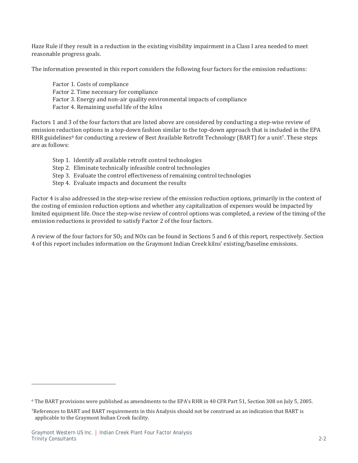Haze Rule if they result in a reduction in the existing visibility impairment in a Class I area needed to meet reasonable progress goals.

The information presented in this report considers the following four factors for the emission reductions:

Factor 1. Costs of compliance Factor 2. Time necessary for compliance Factor 3. Energy and non-air quality environmental impacts of compliance Factor 4. Remaining useful life of the kilns

Factors 1 and 3 of the four factors that are listed above are considered by conducting a step-wise review of emission reduction options in a top-down fashion similar to the top-down approach that is included in the EPA RHR guidelines<sup>6</sup> for conducting a review of Best Available Retrofit Technology (BART) for a unit<sup>7</sup>. These steps are as follows:

- Step 1. Identify all available retrofit control technologies
- Step 2. Eliminate technically infeasible control technologies
- Step 3. Evaluate the control effectiveness of remaining control technologies
- Step 4. Evaluate impacts and document the results

Factor 4 is also addressed in the step-wise review of the emission reduction options, primarily in the context of the costing of emission reduction options and whether any capitalization of expenses would be impacted by limited equipment life. Once the step-wise review of control options was completed, a review of the timing of the emission reductions is provided to satisfy Factor 2 of the four factors.

A review of the four factors for  $SO_2$  and NOx can be found in Sections 5 and 6 of this report, respectively. Section 4 of this report includes information on the Graymont Indian Creek kilns' existing/baseline emissions.

 $6$  The BART provisions were published as amendments to the EPA's RHR in 40 CFR Part 51, Section 308 on July 5, 2005.

<sup>7</sup>References to BART and BART requirements in this Analysis should not be construed as an indication that BART is applicable to the Graymont Indian Creek facility.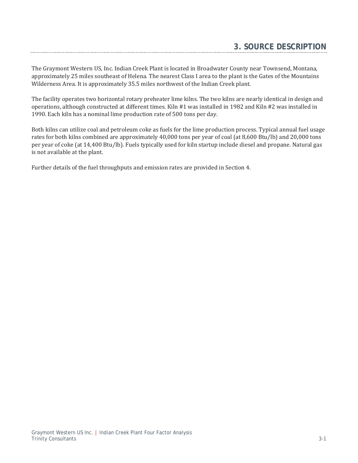The Graymont Western US, Inc. Indian Creek Plant is located in Broadwater County near Townsend, Montana, approximately 25 miles southeast of Helena. The nearest Class I area to the plant is the Gates of the Mountains Wilderness Area. It is approximately 35.5 miles northwest of the Indian Creek plant.

The facility operates two horizontal rotary preheater lime kilns. The two kilns are nearly identical in design and operations, although constructed at different times. Kiln #1 was installed in 1982 and Kiln #2 was installed in 1990. Each kiln has a nominal lime production rate of 500 tons per day.

Both kilns can utilize coal and petroleum coke as fuels for the lime production process. Typical annual fuel usage rates for both kilns combined are approximately 40,000 tons per year of coal (at 8,600 Btu/lb) and 20,000 tons per year of coke (at 14,400 Btu/lb). Fuels typically used for kiln startup include diesel and propane. Natural gas is not available at the plant.

Further details of the fuel throughputs and emission rates are provided in Section 4.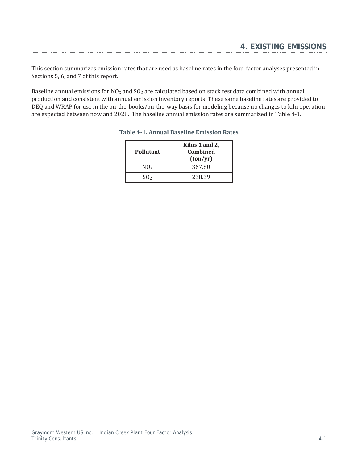This section summarizes emission rates that are used as baseline rates in the four factor analyses presented in Sections 5, 6, and 7 of this report.

Baseline annual emissions for  $NO<sub>X</sub>$  and  $SO<sub>2</sub>$  are calculated based on stack test data combined with annual production and consistent with annual emission inventory reports. These same baseline rates are provided to DEQ and WRAP for use in the on-the-books/on-the-way basis for modeling because no changes to kiln operation are expected between now and 2028. The baseline annual emission rates are summarized in Table 4-1.

| Pollutant       | Kilns 1 and 2,<br><b>Combined</b><br>(ton/yr) |
|-----------------|-----------------------------------------------|
| NO <sub>x</sub> | 367.80                                        |
| SO <sub>2</sub> | 238.39                                        |

#### **Table 4-1. Annual Baseline Emission Rates**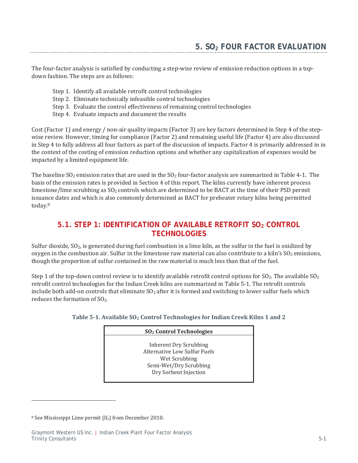The four-factor analysis is satisfied by conducting a step-wise review of emission reduction options in a topdown fashion. The steps are as follows:

- Step 1. Identify all available retrofit control technologies
- Step 2. Eliminate technically infeasible control technologies
- Step 3. Evaluate the control effectiveness of remaining control technologies
- Step 4. Evaluate impacts and document the results

Cost (Factor 1) and energy / non-air quality impacts (Factor 3) are key factors determined in Step 4 of the stepwise review. However, timing for compliance (Factor 2) and remaining useful life (Factor 4) are also discussed in Step 4 to fully address all four factors as part of the discussion of impacts. Factor 4 is primarily addressed in in the context of the costing of emission reduction options and whether any capitalization of expenses would be impacted by a limited equipment life.

The baseline SO<sub>2</sub> emission rates that are used in the SO<sub>2</sub> four-factor analysis are summarized in Table 4-1. The basis of the emission rates is provided in Section 4 of this report. The kilns currently have inherent process limestone/lime scrubbing as SO<sub>2</sub> controls which are determined to be BACT at the time of their PSD permit issuance dates and which is also commonly determined as BACT for preheater rotary kilns being permitted today.8

# **5.1. STEP 1: IDENTIFICATION OF AVAILABLE RETROFIT SO2 CONTROL TECHNOLOGIES**

Sulfur dioxide, SO<sub>2</sub>, is generated during fuel combustion in a lime kiln, as the sulfur in the fuel is oxidized by oxygen in the combustion air. Sulfur in the limestone raw material can also contribute to a kiln's SO<sub>2</sub> emissions, though the proportion of sulfur contained in the raw material is much less than that of the fuel.

Step 1 of the top-down control review is to identify available retrofit control options for  $SO_2$ . The available  $SO_2$ retrofit control technologies for the Indian Creek kilns are summarized in Table 5-1. The retrofit controls include both add-on controls that eliminate SO<sub>2</sub> after it is formed and switching to lower sulfur fuels which reduces the formation of SO<sub>2</sub>.

| Table 5-1. Available SO <sub>2</sub> Control Technologies for Indian Creek Kilns 1 and 2 |  |
|------------------------------------------------------------------------------------------|--|
|------------------------------------------------------------------------------------------|--|

|                                                                                                                            | SO <sub>2</sub> Control Technologies |  |  |  |
|----------------------------------------------------------------------------------------------------------------------------|--------------------------------------|--|--|--|
| Inherent Dry Scrubbing<br>Alternative Low Sulfur Fuels<br>Wet Scrubbing<br>Semi-Wet/Dry Scrubbing<br>Dry Sorbent Injection |                                      |  |  |  |

<sup>&</sup>lt;sup>8</sup> See Mississippi Lime permit (IL) from December 2010.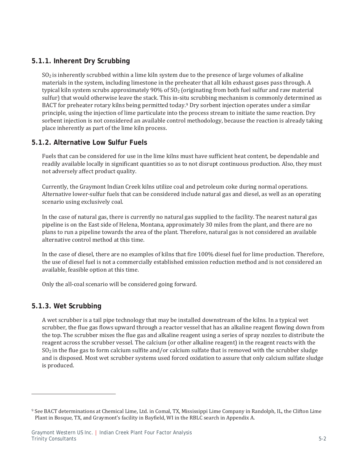### **5.1.1. Inherent Dry Scrubbing**

 $SO<sub>2</sub>$  is inherently scrubbed within a lime kiln system due to the presence of large volumes of alkaline materials in the system, including limestone in the preheater that all kiln exhaust gases pass through. A typical kiln system scrubs approximately 90% of  $SO<sub>2</sub>$  (originating from both fuel sulfur and raw material sulfur) that would otherwise leave the stack. This in-situ scrubbing mechanism is commonly determined as BACT for preheater rotary kilns being permitted today.<sup>9</sup> Dry sorbent injection operates under a similar principle, using the injection of lime particulate into the process stream to initiate the same reaction. Dry sorbent injection is not considered an available control methodology, because the reaction is already taking place inherently as part of the lime kiln process.

### **5.1.2. Alternative Low Sulfur Fuels**

Fuels that can be considered for use in the lime kilns must have sufficient heat content, be dependable and readily available locally in significant quantities so as to not disrupt continuous production. Also, they must not adversely affect product quality.

Currently, the Graymont Indian Creek kilns utilize coal and petroleum coke during normal operations. Alternative lower-sulfur fuels that can be considered include natural gas and diesel, as well as an operating scenario using exclusively coal.

In the case of natural gas, there is currently no natural gas supplied to the facility. The nearest natural gas pipeline is on the East side of Helena, Montana, approximately 30 miles from the plant, and there are no plans to run a pipeline towards the area of the plant. Therefore, natural gas is not considered an available alternative control method at this time.

In the case of diesel, there are no examples of kilns that fire 100% diesel fuel for lime production. Therefore, the use of diesel fuel is not a commercially established emission reduction method and is not considered an available, feasible option at this time.

Only the all-coal scenario will be considered going forward.

### **5.1.3. Wet Scrubbing**

A wet scrubber is a tail pipe technology that may be installed downstream of the kilns. In a typical wet scrubber, the flue gas flows upward through a reactor vessel that has an alkaline reagent flowing down from the top. The scrubber mixes the flue gas and alkaline reagent using a series of spray nozzles to distribute the reagent across the scrubber vessel. The calcium (or other alkaline reagent) in the reagent reacts with the  $SO_2$  in the flue gas to form calcium sulfite and/or calcium sulfate that is removed with the scrubber sludge and is disposed. Most wet scrubber systems used forced oxidation to assure that only calcium sulfate sludge is produced.

<sup>&</sup>lt;sup>9</sup> See BACT determinations at Chemical Lime, Ltd. in Comal, TX, Mississippi Lime Company in Randolph, IL, the Clifton Lime Plant in Bosque, TX, and Graymont's facility in Bayfield, WI in the RBLC search in Appendix A.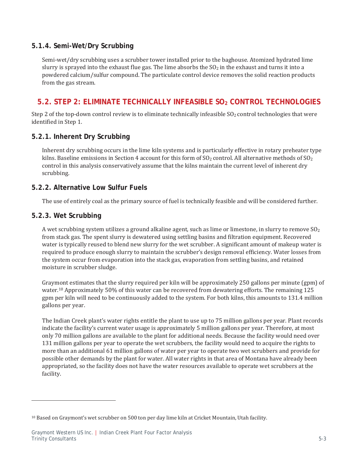### **5.1.4. Semi-Wet/Dry Scrubbing**

Semi-wet/dry scrubbing uses a scrubber tower installed prior to the baghouse. Atomized hydrated lime slurry is sprayed into the exhaust flue gas. The lime absorbs the SO<sub>2</sub> in the exhaust and turns it into a powdered calcium/sulfur compound. The particulate control device removes the solid reaction products from the gas stream.

# **5.2. STEP 2: ELIMINATE TECHNICALLY INFEASIBLE SO<sub>2</sub> CONTROL TECHNOLOGIES**

Step 2 of the top-down control review is to eliminate technically infeasible  $SO_2$  control technologies that were identified in Step 1.

### **5.2.1. Inherent Dry Scrubbing**

Inherent dry scrubbing occurs in the lime kiln systems and is particularly effective in rotary preheater type kilns. Baseline emissions in Section 4 account for this form of  $SO_2$  control. All alternative methods of  $SO_2$ control in this analysis conservatively assume that the kilns maintain the current level of inherent dry scrubbing.

### **5.2.2. Alternative Low Sulfur Fuels**

The use of entirely coal as the primary source of fuel is technically feasible and will be considered further.

### **5.2.3. Wet Scrubbing**

A wet scrubbing system utilizes a ground alkaline agent, such as lime or limestone, in slurry to remove  $SO_2$ from stack gas. The spent slurry is dewatered using settling basins and filtration equipment. Recovered water is typically reused to blend new slurry for the wet scrubber. A significant amount of makeup water is required to produce enough slurry to maintain the scrubber's design removal efficiency. Water losses from the system occur from evaporation into the stack gas, evaporation from settling basins, and retained moisture in scrubber sludge.

Graymont estimates that the slurry required per kiln will be approximately 250 gallons per minute (gpm) of water.<sup>10</sup> Approximately 50% of this water can be recovered from dewatering efforts. The remaining 125 gpm per kiln will need to be continuously added to the system. For both kilns, this amounts to 131.4 million gallons per year.

The Indian Creek plant's water rights entitle the plant to use up to 75 million gallons per year. Plant records indicate the facility's current water usage is approximately 5 million gallons per year. Therefore, at most only 70 million gallons are available to the plant for additional needs. Because the facility would need over 131 million gallons per year to operate the wet scrubbers, the facility would need to acquire the rights to more than an additional 61 million gallons of water per year to operate two wet scrubbers and provide for possible other demands by the plant for water. All water rights in that area of Montana have already been appropriated, so the facility does not have the water resources available to operate wet scrubbers at the facility.

 $^{10}$  Based on Graymont's wet scrubber on 500 ton per day lime kiln at Cricket Mountain, Utah facility.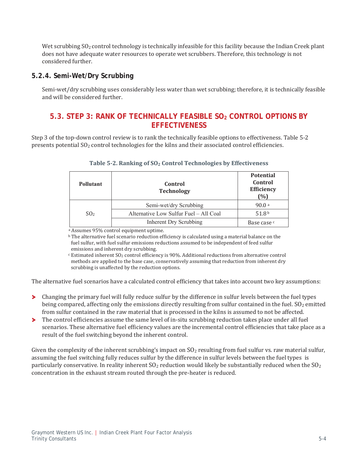Wet scrubbing SO<sub>2</sub> control technology is technically infeasible for this facility because the Indian Creek plant does not have adequate water resources to operate wet scrubbers. Therefore, this technology is not considered further.

#### **5.2.4. Semi-Wet/Dry Scrubbing**

Semi-wet/dry scrubbing uses considerably less water than wet scrubbing; therefore, it is technically feasible and will be considered further.

# **5.3. STEP 3: RANK OF TECHNICALLY FEASIBLE SO<sub>2</sub> CONTROL OPTIONS BY EFFECTIVENESS**

Step 3 of the top-down control review is to rank the technically feasible options to effectiveness. Table 5-2 presents potential SO<sub>2</sub> control technologies for the kilns and their associated control efficiencies.

| <b>Pollutant</b> | Control<br><b>Technology</b>           | <b>Potential</b><br>Control<br>Efficiency<br>(%) |
|------------------|----------------------------------------|--------------------------------------------------|
|                  | Semi-wet/dry Scrubbing                 | 90.0a                                            |
| SO <sub>2</sub>  | Alternative Low Sulfur Fuel – All Coal | 51.8 <sup>b</sup>                                |
|                  | Inherent Dry Scrubbing                 | Base case c                                      |

#### Table 5-2. Ranking of SO<sub>2</sub> Control Technologies by Effectiveness

a Assumes 95% control equipment uptime.

<sup>b</sup> The alternative fuel scenario reduction efficiency is calculated using a material balance on the fuel sulfur, with fuel sulfur emissions reductions assumed to be independent of feed sulfur emissions and inherent dry scrubbing.

<sup>c</sup> Estimated inherent SO<sub>2</sub> control efficiency is 90%. Additional reductions from alternative control methods are applied to the base case, conservatively assuming that reduction from inherent dry scrubbing is unaffected by the reduction options.

The alternative fuel scenarios have a calculated control efficiency that takes into account two key assumptions:

- > Changing the primary fuel will fully reduce sulfur by the difference in sulfur levels between the fuel types being compared, affecting only the emissions directly resulting from sulfur contained in the fuel. SO<sub>2</sub> emitted from sulfur contained in the raw material that is processed in the kilns is assumed to not be affected.
- The control efficiencies assume the same level of in-situ scrubbing reduction takes place under all fuel ⋗ scenarios. These alternative fuel efficiency values are the incremental control efficiencies that take place as a result of the fuel switching beyond the inherent control.

Given the complexity of the inherent scrubbing's impact on  $SO<sub>2</sub>$  resulting from fuel sulfur vs. raw material sulfur, assuming the fuel switching fully reduces sulfur by the difference in sulfur levels between the fuel types is particularly conservative. In reality inherent  $SO_2$  reduction would likely be substantially reduced when the  $SO_2$ concentration in the exhaust stream routed through the pre-heater is reduced.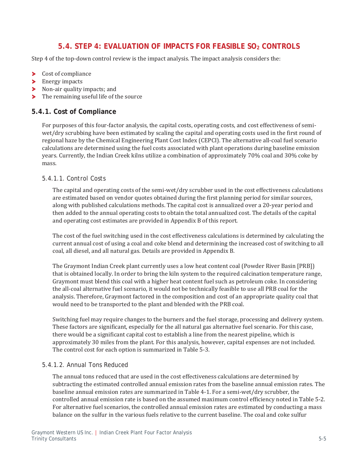# **5.4. STEP 4: EVALUATION OF IMPACTS FOR FEASIBLE SO2 CONTROLS**

Step 4 of the top-down control review is the impact analysis. The impact analysis considers the:

- ⋗ Cost of compliance
- $\blacktriangleright$  Energy impacts
- Non-air quality impacts; and
- > The remaining useful life of the source

### **5.4.1. Cost of Compliance**

For purposes of this four-factor analysis, the capital costs, operating costs, and cost effectiveness of semiwet/dry scrubbing have been estimated by scaling the capital and operating costs used in the first round of regional haze by the Chemical Engineering Plant Cost Index (CEPCI). The alternative all-coal fuel scenario calculations are determined using the fuel costs associated with plant operations during baseline emission years. Currently, the Indian Creek kilns utilize a combination of approximately 70% coal and 30% coke by mass.

#### *5.4.1.1. Control Costs*

The capital and operating costs of the semi-wet/dry scrubber used in the cost effectiveness calculations are estimated based on vendor quotes obtained during the first planning period for similar sources, along with published calculations methods. The capital cost is annualized over a 20-year period and then added to the annual operating costs to obtain the total annualized cost. The details of the capital and operating cost estimates are provided in Appendix B of this report.

The cost of the fuel switching used in the cost effectiveness calculations is determined by calculating the current annual cost of using a coal and coke blend and determining the increased cost of switching to all coal, all diesel, and all natural gas. Details are provided in Appendix B.

The Graymont Indian Creek plant currently uses a low heat content coal (Powder River Basin [PRB]) that is obtained locally. In order to bring the kiln system to the required calcination temperature range, Graymont must blend this coal with a higher heat content fuel such as petroleum coke. In considering the all-coal alternative fuel scenario, it would not be technically feasible to use all PRB coal for the analysis. Therefore, Graymont factored in the composition and cost of an appropriate quality coal that would need to be transported to the plant and blended with the PRB coal.

Switching fuel may require changes to the burners and the fuel storage, processing and delivery system. These factors are significant, especially for the all natural gas alternative fuel scenario. For this case, there would be a significant capital cost to establish a line from the nearest pipeline, which is approximately 30 miles from the plant. For this analysis, however, capital expenses are not included. The control cost for each option is summarized in Table 5-3.

#### *5.4.1.2. Annual Tons Reduced*

The annual tons reduced that are used in the cost effectiveness calculations are determined by subtracting the estimated controlled annual emission rates from the baseline annual emission rates. The baseline annual emission rates are summarized in Table 4-1. For a semi-wet/dry scrubber, the controlled annual emission rate is based on the assumed maximum control efficiency noted in Table 5-2. For alternative fuel scenarios, the controlled annual emission rates are estimated by conducting a mass balance on the sulfur in the various fuels relative to the current baseline. The coal and coke sulfur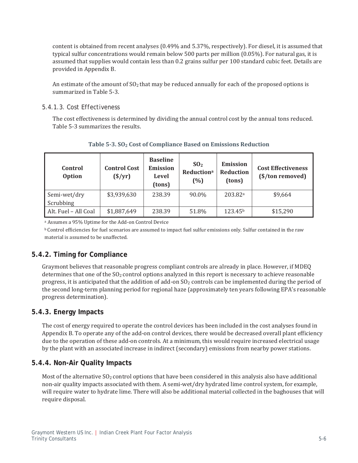content is obtained from recent analyses (0.49% and 5.37%, respectively). For diesel, it is assumed that typical sulfur concentrations would remain below 500 parts per million  $(0.05\%)$ . For natural gas, it is assumed that supplies would contain less than 0.2 grains sulfur per 100 standard cubic feet. Details are provided in Appendix B.

An estimate of the amount of  $SO<sub>2</sub>$  that may be reduced annually for each of the proposed options is summarized in Table 5-3.

#### *5.4.1.3. Cost Effectiveness*

The cost effectiveness is determined by dividing the annual control cost by the annual tons reduced. Table 5-3 summarizes the results.

| Control<br><b>Option</b>  | <b>Control Cost</b><br>$(\frac{\$}{yr})$ | <b>Baseline</b><br><b>Emission</b><br><b>Level</b><br>(tons) | SO <sub>2</sub><br><b>Reductiona</b><br>(%) | <b>Emission</b><br><b>Reduction</b><br>(tons) | <b>Cost Effectiveness</b><br>(\$/ton removed) |
|---------------------------|------------------------------------------|--------------------------------------------------------------|---------------------------------------------|-----------------------------------------------|-----------------------------------------------|
| Semi-wet/dry<br>Scrubbing | \$3,939,630                              | 238.39                                                       | 90.0%                                       | 203.82 <sup>a</sup>                           | \$9,664                                       |
| Alt. Fuel – All Coal      | \$1,887,649                              | 238.39                                                       | 51.8%                                       | 123.45 <sup>b</sup>                           | \$15,290                                      |

#### **Table 5-3. SO2 Cost of Compliance Based on Emissions Reduction**

a Assumes a 95% Uptime for the Add-on Control Device

**b** Control efficiencies for fuel scenarios are assumed to impact fuel sulfur emissions only. Sulfur contained in the raw material is assumed to be unaffected.

# **5.4.2. Timing for Compliance**

Graymont believes that reasonable progress compliant controls are already in place. However, if MDEQ determines that one of the  $SO<sub>2</sub>$  control options analyzed in this report is necessary to achieve reasonable progress, it is anticipated that the addition of add-on SO<sub>2</sub> controls can be implemented during the period of the second long-term planning period for regional haze (approximately ten years following EPA's reasonable progress determination).

### **5.4.3. Energy Impacts**

The cost of energy required to operate the control devices has been included in the cost analyses found in Appendix B. To operate any of the add-on control devices, there would be decreased overall plant efficiency due to the operation of these add-on controls. At a minimum, this would require increased electrical usage by the plant with an associated increase in indirect (secondary) emissions from nearby power stations.

### **5.4.4. Non-Air Quality Impacts**

Most of the alternative SO<sub>2</sub> control options that have been considered in this analysis also have additional non-air quality impacts associated with them. A semi-wet/dry hydrated lime control system, for example, will require water to hydrate lime. There will also be additional material collected in the baghouses that will require disposal.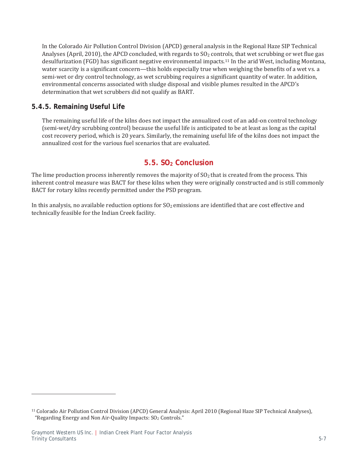In the Colorado Air Pollution Control Division (APCD) general analysis in the Regional Haze SIP Technical Analyses (April, 2010), the APCD concluded, with regards to  $SO_2$  controls, that wet scrubbing or wet flue gas desulfurization (FGD) has significant negative environmental impacts.<sup>11</sup> In the arid West, including Montana, water scarcity is a significant concern—this holds especially true when weighing the benefits of a wet vs. a semi-wet or dry control technology, as wet scrubbing requires a significant quantity of water. In addition, environmental concerns associated with sludge disposal and visible plumes resulted in the APCD's determination that wet scrubbers did not qualify as BART.

### **5.4.5. Remaining Useful Life**

The remaining useful life of the kilns does not impact the annualized cost of an add-on control technology (semi-wet/dry scrubbing control) because the useful life is anticipated to be at least as long as the capital cost recovery period, which is 20 years. Similarly, the remaining useful life of the kilns does not impact the annualized cost for the various fuel scenarios that are evaluated.

# **5.5. SO2 Conclusion**

The lime production process inherently removes the majority of  $SO<sub>2</sub>$  that is created from the process. This inherent control measure was BACT for these kilns when they were originally constructed and is still commonly BACT for rotary kilns recently permitted under the PSD program.

In this analysis, no available reduction options for  $SO_2$  emissions are identified that are cost effective and technically feasible for the Indian Creek facility.

<sup>&</sup>lt;sup>11</sup> Colorado Air Pollution Control Division (APCD) General Analysis: April 2010 (Regional Haze SIP Technical Analyses), "Regarding Energy and Non Air-Quality Impacts: SO<sub>2</sub> Controls."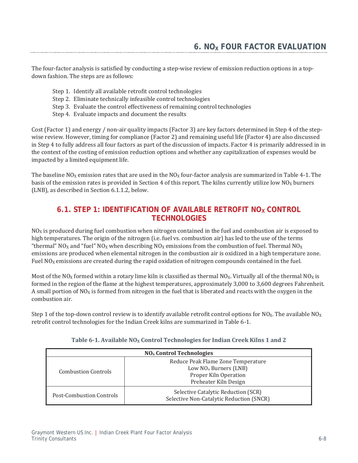The four-factor analysis is satisfied by conducting a step-wise review of emission reduction options in a topdown fashion. The steps are as follows:

- Step 1. Identify all available retrofit control technologies
- Step 2. Eliminate technically infeasible control technologies
- Step 3. Evaluate the control effectiveness of remaining control technologies
- Step 4. Evaluate impacts and document the results

Cost (Factor 1) and energy / non-air quality impacts (Factor 3) are key factors determined in Step 4 of the stepwise review. However, timing for compliance (Factor 2) and remaining useful life (Factor 4) are also discussed in Step 4 to fully address all four factors as part of the discussion of impacts. Factor 4 is primarily addressed in in the context of the costing of emission reduction options and whether any capitalization of expenses would be impacted by a limited equipment life.

The baseline NO<sub>x</sub> emission rates that are used in the NO<sub>x</sub> four-factor analysis are summarized in Table 4-1. The basis of the emission rates is provided in Section 4 of this report. The kilns currently utilize low NO<sub>x</sub> burners (LNB), as described in Section 6.1.1.2, below.

# **6.1. STEP 1: IDENTIFICATION OF AVAILABLE RETROFIT NOX CONTROL TECHNOLOGIES**

 $NO<sub>X</sub>$  is produced during fuel combustion when nitrogen contained in the fuel and combustion air is exposed to high temperatures. The origin of the nitrogen (i.e. fuel vs. combustion air) has led to the use of the terms "thermal" NO<sub>x</sub> and "fuel" NO<sub>x</sub> when describing NO<sub>x</sub> emissions from the combustion of fuel. Thermal NO<sub>x</sub> emissions are produced when elemental nitrogen in the combustion air is oxidized in a high temperature zone. Fuel  $NO<sub>x</sub>$  emissions are created during the rapid oxidation of nitrogen compounds contained in the fuel.

Most of the NO<sub>X</sub> formed within a rotary lime kiln is classified as thermal NO<sub>X</sub>. Virtually all of the thermal NO<sub>X</sub> is formed in the region of the flame at the highest temperatures, approximately 3,000 to 3,600 degrees Fahrenheit. A small portion of  $NQ_x$  is formed from nitrogen in the fuel that is liberated and reacts with the oxygen in the combustion air.

Step 1 of the top-down control review is to identify available retrofit control options for NO<sub>X</sub>. The available NO<sub>X</sub> retrofit control technologies for the Indian Creek kilns are summarized in Table 6-1.

| NO <sub>x</sub> Control Technologies |                                                                                                                 |  |  |
|--------------------------------------|-----------------------------------------------------------------------------------------------------------------|--|--|
| <b>Combustion Controls</b>           | Reduce Peak Flame Zone Temperature<br>Low $NOx$ Burners (LNB)<br>Proper Kiln Operation<br>Preheater Kiln Design |  |  |
| Post-Combustion Controls             | Selective Catalytic Reduction (SCR)<br>Selective Non-Catalytic Reduction (SNCR)                                 |  |  |

#### Table 6-1. Available NO<sub>X</sub> Control Technologies for Indian Creek Kilns 1 and 2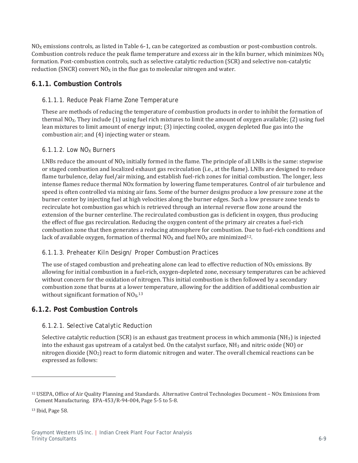$NO<sub>X</sub>$  emissions controls, as listed in Table 6-1, can be categorized as combustion or post-combustion controls. Combustion controls reduce the peak flame temperature and excess air in the kiln burner, which minimizes  $NO<sub>X</sub>$ formation. Post-combustion controls, such as selective catalytic reduction (SCR) and selective non-catalytic reduction (SNCR) convert  $NO<sub>x</sub>$  in the flue gas to molecular nitrogen and water.

### **6.1.1. Combustion Controls**

#### *6.1.1.1. Reduce Peak Flame Zone Temperature*

These are methods of reducing the temperature of combustion products in order to inhibit the formation of thermal NO<sub>x</sub>. They include (1) using fuel rich mixtures to limit the amount of oxygen available; (2) using fuel lean mixtures to limit amount of energy input; (3) injecting cooled, oxygen depleted flue gas into the combustion air; and (4) injecting water or steam.

#### *6.1.1.2. Low NOX Burners*

LNBs reduce the amount of  $NQ_x$  initially formed in the flame. The principle of all LNBs is the same: stepwise or staged combustion and localized exhaust gas recirculation (i.e., at the flame). LNBs are designed to reduce flame turbulence, delay fuel/air mixing, and establish fuel-rich zones for initial combustion. The longer, less intense flames reduce thermal NO<sub>x</sub> formation by lowering flame temperatures. Control of air turbulence and speed is often controlled via mixing air fans. Some of the burner designs produce a low pressure zone at the burner center by injecting fuel at high velocities along the burner edges. Such a low pressure zone tends to recirculate hot combustion gas which is retrieved through an internal reverse flow zone around the extension of the burner centerline. The recirculated combustion gas is deficient in oxygen, thus producing the effect of flue gas recirculation. Reducing the oxygen content of the primary air creates a fuel-rich combustion zone that then generates a reducing atmosphere for combustion. Due to fuel-rich conditions and lack of available oxygen, formation of thermal  $NO<sub>X</sub>$  and fuel  $NO<sub>X</sub>$  are minimized<sup>12</sup>.

### *6.1.1.3. Preheater Kiln Design/ Proper Combustion Practices*

The use of staged combustion and preheating alone can lead to effective reduction of  $NO<sub>X</sub>$  emissions. By allowing for initial combustion in a fuel-rich, oxygen-depleted zone, necessary temperatures can be achieved without concern for the oxidation of nitrogen. This initial combustion is then followed by a secondary combustion zone that burns at a lower temperature, allowing for the addition of additional combustion air without significant formation of NO<sub>X.13</sub>

### **6.1.2. Post Combustion Controls**

### *6.1.2.1. Selective Catalytic Reduction*

Selective catalytic reduction (SCR) is an exhaust gas treatment process in which ammonia (NH<sub>3</sub>) is injected into the exhaust gas upstream of a catalyst bed. On the catalyst surface,  $NH<sub>3</sub>$  and nitric oxide (NO) or nitrogen dioxide (NO<sub>2</sub>) react to form diatomic nitrogen and water. The overall chemical reactions can be expressed as follows:

<sup>&</sup>lt;sup>12</sup> USEPA, Office of Air Quality Planning and Standards. Alternative Control Technologies Document – NOx Emissions from Cement Manufacturing. EPA-453/R-94-004, Page 5-5 to 5-8.

<sup>&</sup>lt;sup>13</sup> Ibid, Page 58.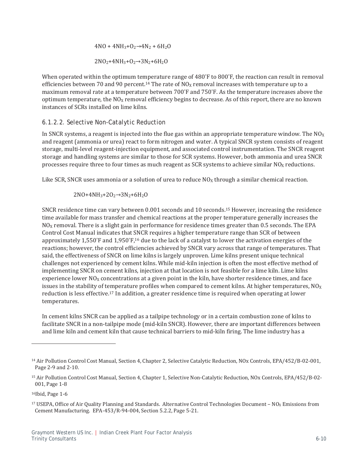$$
4NO + 4NH_3 + O_2 \rightarrow 4N_2 + 6H_2O
$$
  

$$
2NO_2 + 4NH_3 + O_2 \rightarrow 3N_2 + 6H_2O
$$

When operated within the optimum temperature range of 480°F to 800°F, the reaction can result in removal efficiencies between 70 and 90 percent.<sup>14</sup> The rate of  $NO<sub>X</sub>$  removal increases with temperature up to a maximum removal rate at a temperature between 700°F and 750°F. As the temperature increases above the optimum temperature, the NO<sub>X</sub> removal efficiency begins to decrease. As of this report, there are no known instances of SCRs installed on lime kilns.

### *6.1.2.2. Selective Non-Catalytic Reduction*

In SNCR systems, a reagent is injected into the flue gas within an appropriate temperature window. The  $NQ_x$ and reagent (ammonia or urea) react to form nitrogen and water. A typical SNCR system consists of reagent storage, multi-level reagent-injection equipment, and associated control instrumentation. The SNCR reagent storage and handling systems are similar to those for SCR systems. However, both ammonia and urea SNCR processes require three to four times as much reagent as SCR systems to achieve similar  $NO<sub>X</sub>$  reductions.

Like SCR, SNCR uses ammonia or a solution of urea to reduce  $NO<sub>X</sub>$  through a similar chemical reaction.

$$
2NO+4NH_3+2O_2\rightarrow3N_2+6H_2O
$$

SNCR residence time can vary between 0.001 seconds and 10 seconds.<sup>15</sup> However, increasing the residence time available for mass transfer and chemical reactions at the proper temperature generally increases the  $NQ<sub>X</sub>$  removal. There is a slight gain in performance for residence times greater than 0.5 seconds. The EPA Control Cost Manual indicates that SNCR requires a higher temperature range than SCR of between approximately 1,550°F and 1,950°F,<sup>16</sup> due to the lack of a catalyst to lower the activation energies of the reactions; however, the control efficiencies achieved by SNCR vary across that range of temperatures. That said, the effectiveness of SNCR on lime kilns is largely unproven. Lime kilns present unique technical challenges not experienced by cement kilns. While mid-kiln injection is often the most effective method of implementing SNCR on cement kilns, injection at that location is not feasible for a lime kiln. Lime kilns experience lower  $NO<sub>X</sub>$  concentrations at a given point in the kiln, have shorter residence times, and face issues in the stability of temperature profiles when compared to cement kilns. At higher temperatures,  $NQ_X$ reduction is less effective.<sup>17</sup> In addition, a greater residence time is required when operating at lower temperatures.

In cement kilns SNCR can be applied as a tailpipe technology or in a certain combustion zone of kilns to facilitate SNCR in a non-tailpipe mode (mid-kiln SNCR). However, there are important differences between and lime kiln and cement kiln that cause technical barriers to mid-kiln firing. The lime industry has a

<sup>&</sup>lt;sup>14</sup> Air Pollution Control Cost Manual, Section 4, Chapter 2, Selective Catalytic Reduction, NOx Controls, EPA/452/B-02-001, Page 2-9 and 2-10.

<sup>&</sup>lt;sup>15</sup> Air Pollution Control Cost Manual, Section 4, Chapter 1, Selective Non-Catalytic Reduction, NOx Controls, EPA/452/B-02- $001$ , Page  $1-8$ 

<sup>&</sup>lt;sup>16</sup>Ibid, Page 1-6

<sup>&</sup>lt;sup>17</sup> USEPA, Office of Air Quality Planning and Standards. Alternative Control Technologies Document – NO<sub>X</sub> Emissions from Cement Manufacturing. EPA-453/R-94-004, Section 5.2.2, Page 5-21.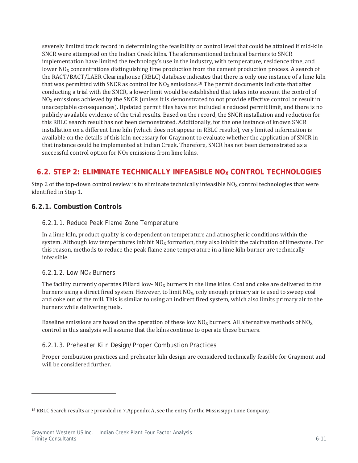severely limited track record in determining the feasibility or control level that could be attained if mid-kiln SNCR were attempted on the Indian Creek kilns. The aforementioned technical barriers to SNCR implementation have limited the technology's use in the industry, with temperature, residence time, and lower  $NO<sub>x</sub>$  concentrations distinguishing lime production from the cement production process. A search of the RACT/BACT/LAER Clearinghouse (RBLC) database indicates that there is only one instance of a lime kiln that was permitted with SNCR as control for  $NO<sub>X</sub>$  emissions.<sup>18</sup> The permit documents indicate that after conducting a trial with the SNCR, a lower limit would be established that takes into account the control of NO<sub>x</sub> emissions achieved by the SNCR (unless it is demonstrated to not provide effective control or result in unacceptable consequences). Updated permit files have not included a reduced permit limit, and there is no publicly available evidence of the trial results. Based on the record, the SNCR installation and reduction for this RBLC search result has not been demonstrated. Additionally, for the one instance of known SNCR installation on a different lime kiln (which does not appear in RBLC results), very limited information is available on the details of this kiln necessary for Graymont to evaluate whether the application of SNCR in that instance could be implemented at Indian Creek. Therefore, SNCR has not been demonstrated as a successful control option for  $NO<sub>x</sub>$  emissions from lime kilns.

# **6.2. STEP 2: ELIMINATE TECHNICALLY INFEASIBLE NOX CONTROL TECHNOLOGIES**

Step 2 of the top-down control review is to eliminate technically infeasible NO<sub>x</sub> control technologies that were identified in Step 1.

### **6.2.1. Combustion Controls**

### *6.2.1.1. Reduce Peak Flame Zone Temperature*

In a lime kiln, product quality is co-dependent on temperature and atmospheric conditions within the system. Although low temperatures inhibit  $NQ_x$  formation, they also inhibit the calcination of limestone. For this reason, methods to reduce the peak flame zone temperature in a lime kiln burner are technically infeasible.

#### *6.2.1.2. Low NOX Burners*

The facility currently operates Pillard low- $NQ<sub>X</sub>$  burners in the lime kilns. Coal and coke are delivered to the burners using a direct fired system. However, to limit NO<sub>x</sub>, only enough primary air is used to sweep coal and coke out of the mill. This is similar to using an indirect fired system, which also limits primary air to the burners while delivering fuels.

Baseline emissions are based on the operation of these low  $NQ_x$  burners. All alternative methods of  $NQ_x$ control in this analysis will assume that the kilns continue to operate these burners.

#### *6.2.1.3. Preheater Kiln Design/Proper Combustion Practices*

Proper combustion practices and preheater kiln design are considered technically feasible for Graymont and will be considered further.

<sup>&</sup>lt;sup>18</sup> RBLC Search results are provided in 7.Appendix A, see the entry for the Mississippi Lime Company.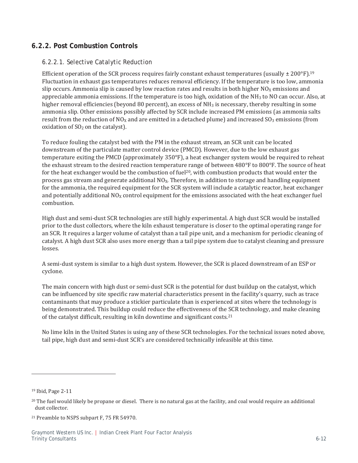### **6.2.2. Post Combustion Controls**

#### *6.2.2.1. Selective Catalytic Reduction*

Efficient operation of the SCR process requires fairly constant exhaust temperatures (usually  $\pm$  200°F).<sup>19</sup> Fluctuation in exhaust gas temperatures reduces removal efficiency. If the temperature is too low, ammonia slip occurs. Ammonia slip is caused by low reaction rates and results in both higher  $NO<sub>X</sub>$  emissions and appreciable ammonia emissions. If the temperature is too high, oxidation of the NH<sub>3</sub> to NO can occur. Also, at higher removal efficiencies (beyond 80 percent), an excess of  $NH_3$  is necessary, thereby resulting in some ammonia slip. Other emissions possibly affected by SCR include increased PM emissions (as ammonia salts result from the reduction of  $NO<sub>X</sub>$  and are emitted in a detached plume) and increased  $SO<sub>3</sub>$  emissions (from oxidation of SO<sub>2</sub> on the catalyst).

To reduce fouling the catalyst bed with the PM in the exhaust stream, an SCR unit can be located downstream of the particulate matter control device (PMCD). However, due to the low exhaust gas temperature exiting the PMCD (approximately 350°F), a heat exchanger system would be required to reheat the exhaust stream to the desired reaction temperature range of between  $480^{\circ}$  F to  $800^{\circ}$  F. The source of heat for the heat exchanger would be the combustion of fuel<sup>20</sup>, with combustion products that would enter the process gas stream and generate additional NO<sub>x</sub>. Therefore, in addition to storage and handling equipment for the ammonia, the required equipment for the SCR system will include a catalytic reactor, heat exchanger and potentially additional NO<sub>x</sub> control equipment for the emissions associated with the heat exchanger fuel combustion.

High dust and semi-dust SCR technologies are still highly experimental. A high dust SCR would be installed prior to the dust collectors, where the kiln exhaust temperature is closer to the optimal operating range for an SCR. It requires a larger volume of catalyst than a tail pipe unit, and a mechanism for periodic cleaning of catalyst. A high dust SCR also uses more energy than a tail pipe system due to catalyst cleaning and pressure losses.

A semi-dust system is similar to a high dust system. However, the SCR is placed downstream of an ESP or cyclone.

The main concern with high dust or semi-dust SCR is the potential for dust buildup on the catalyst, which can be influenced by site specific raw material characteristics present in the facility's quarry, such as trace contaminants that may produce a stickier particulate than is experienced at sites where the technology is being demonstrated. This buildup could reduce the effectiveness of the SCR technology, and make cleaning of the catalyst difficult, resulting in kiln downtime and significant costs.<sup>21</sup>

No lime kiln in the United States is using any of these SCR technologies. For the technical issues noted above, tail pipe, high dust and semi-dust SCR's are considered technically infeasible at this time.

<sup>&</sup>lt;sup>19</sup> Ibid, Page 2-11

<sup>&</sup>lt;sup>20</sup> The fuel would likely be propane or diesel. There is no natural gas at the facility, and coal would require an additional dust collector.

<sup>&</sup>lt;sup>21</sup> Preamble to NSPS subpart F, 75 FR 54970.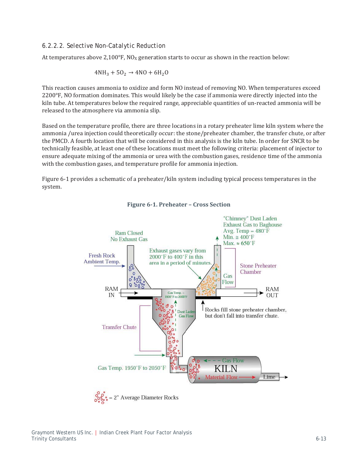#### *6.2.2.2. Selective Non-Catalytic Reduction*

At temperatures above 2,100°F, NO<sub>x</sub> generation starts to occur as shown in the reaction below:

$$
4NH_3 + 50_2 \rightarrow 4NO + 6H_2O
$$

This reaction causes ammonia to oxidize and form NO instead of removing NO. When temperatures exceed 2200°F, NO formation dominates. This would likely be the case if ammonia were directly injected into the kiln tube. At temperatures below the required range, appreciable quantities of un-reacted ammonia will be released to the atmosphere via ammonia slip.

Based on the temperature profile, there are three locations in a rotary preheater lime kiln system where the ammonia /urea injection could theoretically occur: the stone/preheater chamber, the transfer chute, or after the PMCD. A fourth location that will be considered in this analysis is the kiln tube. In order for SNCR to be technically feasible, at least one of these locations must meet the following criteria: placement of injector to ensure adequate mixing of the ammonia or urea with the combustion gases, residence time of the ammonia with the combustion gases, and temperature profile for ammonia injection.

Figure 6-1 provides a schematic of a preheater/kiln system including typical process temperatures in the system.



**Figure 6-1. Preheater – Cross Section**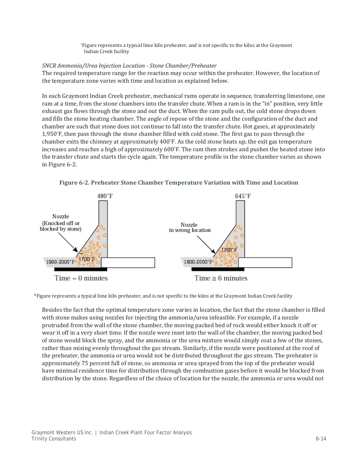\*Figure represents a typical lime kiln preheater, and is not specific to the kilns at the Graymont Indian Creek facility

#### *SNCR Ammonia/Urea Injection Location - Stone Chamber/Preheater*

The required temperature range for the reaction may occur within the preheater. However, the location of the temperature zone varies with time and location as explained below.

In each Graymont Indian Creek preheater, mechanical rams operate in sequence, transferring limestone, one ram at a time, from the stone chambers into the transfer chute. When a ram is in the "in" position, very little exhaust gas flows through the stone and out the duct. When the ram pulls out, the cold stone drops down and fills the stone heating chamber. The angle of repose of the stone and the configuration of the duct and chamber are such that stone does not continue to fall into the transfer chute. Hot gases, at approximately 1,950°F, then pass through the stone chamber filled with cold stone. The first gas to pass through the chamber exits the chimney at approximately 400°F. As the cold stone heats up, the exit gas temperature increases and reaches a high of approximately 600°F. The ram then strokes and pushes the heated stone into the transfer chute and starts the cycle again. The temperature profile in the stone chamber varies as shown in Figure 6-2.

**Figure 6-2. Preheater Stone Chamber Temperature Variation with Time and Location** 



 $Time = 0$  minutes

\*Figure represents a typical lime kiln preheater, and is not specific to the kilns at the Graymont Indian Creek facility

Besides the fact that the optimal temperature zone varies in location, the fact that the stone chamber is filled with stone makes using nozzles for injecting the ammonia/urea infeasible. For example, if a nozzle protruded from the wall of the stone chamber, the moving packed bed of rock would either knock it off or wear it off in a very short time. If the nozzle were inset into the wall of the chamber, the moving packed bed of stone would block the spray, and the ammonia or the urea mixture would simply coat a few of the stones, rather than mixing evenly throughout the gas stream. Similarly, if the nozzle were positioned at the roof of the preheater, the ammonia or urea would not be distributed throughout the gas stream. The preheater is approximately 75 percent full of stone, so ammonia or urea sprayed from the top of the preheater would have minimal residence time for distribution through the combustion gases before it would be blocked from distribution by the stone. Regardless of the choice of location for the nozzle, the ammonia or urea would not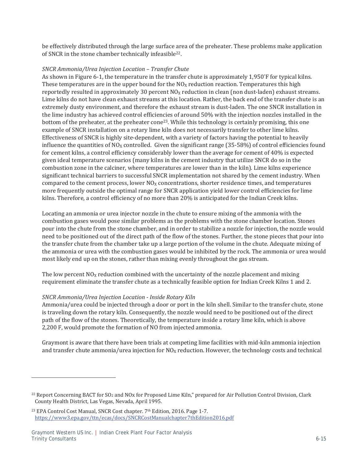be effectively distributed through the large surface area of the preheater. These problems make application of SNCR in the stone chamber technically infeasible<sup>22</sup>.

#### *SNCR Ammonia/Urea Injection Location – Transfer Chute*

As shown in Figure 6-1, the temperature in the transfer chute is approximately 1,950°F for typical kilns. These temperatures are in the upper bound for the  $NO<sub>x</sub>$  reduction reaction. Temperatures this high reportedly resulted in approximately 30 percent  $NO<sub>X</sub>$  reduction in clean (non dust-laden) exhaust streams. Lime kilns do not have clean exhaust streams at this location. Rather, the back end of the transfer chute is an extremely dusty environment, and therefore the exhaust stream is dust-laden. The one SNCR installation in the lime industry has achieved control efficiencies of around 50% with the injection nozzles installed in the bottom of the preheater, at the preheater cone<sup>23</sup>. While this technology is certainly promising, this one example of SNCR installation on a rotary lime kiln does not necessarily transfer to other lime kilns. Effectiveness of SNCR is highly site-dependent, with a variety of factors having the potential to heavily influence the quantities of  $NO<sub>X</sub>$  controlled. Given the significant range (35-58%) of control efficiencies found for cement kilns, a control efficiency considerably lower than the average for cement of 40% is expected given ideal temperature scenarios (many kilns in the cement industry that utilize SNCR do so in the combustion zone in the calciner, where temperatures are lower than in the kiln). Lime kilns experience significant technical barriers to successful SNCR implementation not shared by the cement industry. When compared to the cement process, lower  $NO_X$  concentrations, shorter residence times, and temperatures more frequently outside the optimal range for SNCR application yield lower control efficiencies for lime kilns. Therefore, a control efficiency of no more than 20% is anticipated for the Indian Creek kilns.

Locating an ammonia or urea injector nozzle in the chute to ensure mixing of the ammonia with the combustion gases would pose similar problems as the problems with the stone chamber location. Stones pour into the chute from the stone chamber, and in order to stabilize a nozzle for injection, the nozzle would need to be positioned out of the direct path of the flow of the stones. Further, the stone pieces that pour into the transfer chute from the chamber take up a large portion of the volume in the chute. Adequate mixing of the ammonia or urea with the combustion gases would be inhibited by the rock. The ammonia or urea would most likely end up on the stones, rather than mixing evenly throughout the gas stream.

The low percent  $NQ<sub>X</sub>$  reduction combined with the uncertainty of the nozzle placement and mixing requirement eliminate the transfer chute as a technically feasible option for Indian Creek Kilns 1 and 2.

#### *SNCR Ammonia/Urea Injection Location - Inside Rotary Kiln*

Ammonia/urea could be injected through a door or port in the kiln shell. Similar to the transfer chute, stone is traveling down the rotary kiln. Consequently, the nozzle would need to be positioned out of the direct path of the flow of the stones. Theoretically, the temperature inside a rotary lime kiln, which is above 2,200 F, would promote the formation of NO from injected ammonia.

Graymont is aware that there have been trials at competing lime facilities with mid-kiln ammonia injection and transfer chute ammonia/urea injection for  $NO<sub>x</sub>$  reduction. However, the technology costs and technical

<sup>&</sup>lt;sup>22</sup> Report Concerning BACT for SO<sub>2</sub> and NOx for Proposed Lime Kiln," prepared for Air Pollution Control Division, Clark County Health District, Las Vegas, Nevada, April 1995.

<sup>&</sup>lt;sup>23</sup> EPA Control Cost Manual, SNCR Cost chapter. 7<sup>th</sup> Edition, 2016. Page 1-7. https://www3.epa.gov/ttn/ecas/docs/SNCRCostManualchapter7thEdition2016.pdf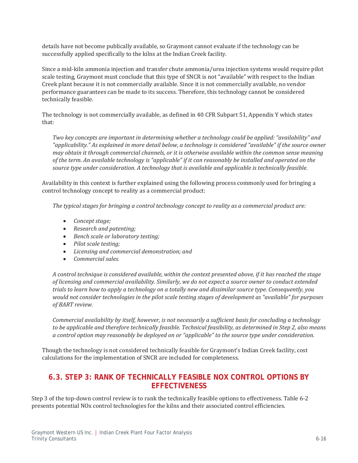details have not become publically available, so Graymont cannot evaluate if the technology can be successfully applied specifically to the kilns at the Indian Creek facility.

Since a mid-kiln ammonia injection and transfer chute ammonia/urea injection systems would require pilot scale testing, Graymont must conclude that this type of SNCR is not "available" with respect to the Indian Creek plant because it is not commercially available. Since it is not commercially available, no vendor performance guarantees can be made to its success. Therefore, this technology cannot be considered technically feasible.

The technology is not commercially available, as defined in 40 CFR Subpart 51, Appendix Y which states that:

*Two key concepts are important in determining whether a technology could be applied: "availability" and "applicability." As explained in more detail below, a technology is considered "available" if the source owner may obtain it through commercial channels, or it is otherwise available within the common sense meaning of the term. An available technology is "applicable" if it can reasonably be installed and operated on the source type under consideration. A technology that is available and applicable is technically feasible.* 

Availability in this context is further explained using the following process commonly used for bringing a control technology concept to reality as a commercial product:

*The typical stages for bringing a control technology concept to reality as a commercial product are:* 

- x *Concept stage;*
- x *Research and patenting;*
- **•** *Bench scale or laboratory testing;*
- x *Pilot scale testing;*
- x *Licensing and commercial demonstration; and*
- x *Commercial sales.*

*A control technique is considered available, within the context presented above, if it has reached the stage of licensing and commercial availability. Similarly, we do not expect a source owner to conduct extended trials to learn how to apply a technology on a totally new and dissimilar source type. Consequently, you would not consider technologies in the pilot scale testing stages of development as "available" for purposes of BART review.* 

*Commercial availability by itself, however, is not necessarily a sufficient basis for concluding a technology to be applicable and therefore technically feasible. Technical feasibility, as determined in Step 2, also means a control option may reasonably be deployed on or "applicable" to the source type under consideration.* 

Though the technology is not considered technically feasible for Graymont's Indian Creek facility, cost calculations for the implementation of SNCR are included for completeness.

### **6.3. STEP 3: RANK OF TECHNICALLY FEASIBLE NOX CONTROL OPTIONS BY EFFECTIVENESS**

Step 3 of the top-down control review is to rank the technically feasible options to effectiveness. Table 6-2 presents potential NO<sub>x</sub> control technologies for the kilns and their associated control efficiencies.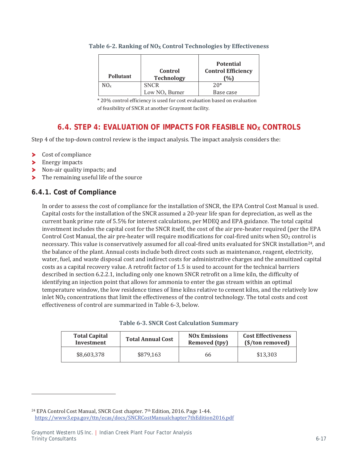| <b>Pollutant</b> | Control<br><b>Technology</b> | <b>Potential</b><br><b>Control Efficiency</b> |
|------------------|------------------------------|-----------------------------------------------|
| $NO_{x}$         | <b>SNCR</b>                  | $20*$                                         |
|                  | Low $NOx$ Burner             | Base case                                     |

#### Table 6-2. Ranking of NO<sub>x</sub> Control Technologies by Effectiveness

\* 20% control efficiency is used for cost evaluation based on evaluation of feasibility of SNCR at another Graymont facility.

# **6.4. STEP 4: EVALUATION OF IMPACTS FOR FEASIBLE NO<sub>X</sub> CONTROLS**

Step 4 of the top-down control review is the impact analysis. The impact analysis considers the:

- Cost of compliance  $\blacktriangleright$
- > Energy impacts
- Non-air quality impacts; and
- The remaining useful life of the source  $\blacktriangleright$

# **6.4.1. Cost of Compliance**

In order to assess the cost of compliance for the installation of SNCR, the EPA Control Cost Manual is used. Capital costs for the installation of the SNCR assumed a 20-year life span for depreciation, as well as the current bank prime rate of 5.5% for interest calculations, per MDEQ and EPA guidance. The total capital investment includes the capital cost for the SNCR itself, the cost of the air pre-heater required (per the EPA Control Cost Manual, the air pre-heater will require modifications for coal-fired units when SO<sub>2</sub> control is necessary. This value is conservatively assumed for all coal-fired units evaluated for SNCR installation<sup>24</sup>, and the balance of the plant. Annual costs include both direct costs such as maintenance, reagent, electricity, water, fuel, and waste disposal cost and indirect costs for administrative charges and the annuitized capital costs as a capital recovery value. A retrofit factor of 1.5 is used to account for the technical barriers described in section 6.2.2.1, including only one known SNCR retrofit on a lime kiln, the difficulty of identifying an injection point that allows for ammonia to enter the gas stream within an optimal temperature window, the low residence times of lime kilns relative to cement kilns, and the relatively low inlet  $NO<sub>X</sub>$  concentrations that limit the effectiveness of the control technology. The total costs and cost effectiveness of control are summarized in Table 6-3, below.

|  |  |  |  |  |  |  | <b>Table 6-3. SNCR Cost Calculation Summary</b> |
|--|--|--|--|--|--|--|-------------------------------------------------|
|--|--|--|--|--|--|--|-------------------------------------------------|

| <b>Total Capital</b> | <b>Total Annual Cost</b> | <b>NO<sub>x</sub></b> Emissions | <b>Cost Effectiveness</b> |
|----------------------|--------------------------|---------------------------------|---------------------------|
| Investment           |                          | Removed (tpy)                   | (\$/ton removed)          |
| \$8,603,378          | \$879,163                | 66                              | \$13,303                  |

<sup>&</sup>lt;sup>24</sup> EPA Control Cost Manual, SNCR Cost chapter. 7<sup>th</sup> Edition, 2016. Page 1-44. https://www3.epa.gov/ttn/ecas/docs/SNCRCostManualchapter7thEdition2016.pdf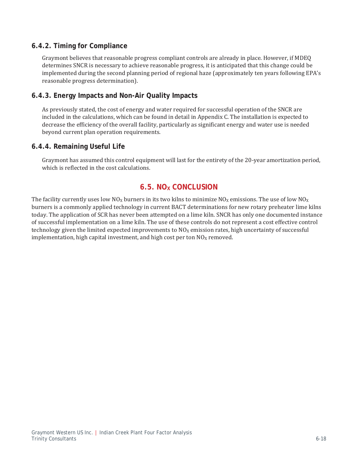### **6.4.2. Timing for Compliance**

Graymont believes that reasonable progress compliant controls are already in place. However, if MDEQ determines SNCR is necessary to achieve reasonable progress, it is anticipated that this change could be implemented during the second planning period of regional haze (approximately ten years following EPA's reasonable progress determination).

### **6.4.3. Energy Impacts and Non-Air Quality Impacts**

As previously stated, the cost of energy and water required for successful operation of the SNCR are included in the calculations, which can be found in detail in Appendix C. The installation is expected to decrease the efficiency of the overall facility, particularly as significant energy and water use is needed beyond current plan operation requirements.

#### **6.4.4. Remaining Useful Life**

Graymont has assumed this control equipment will last for the entirety of the 20-year amortization period, which is reflected in the cost calculations.

### **6.5. NO<sub>x</sub> CONCLUSION**

The facility currently uses low  $NO<sub>X</sub>$  burners in its two kilns to minimize  $NO<sub>X</sub>$  emissions. The use of low  $NO<sub>X</sub>$ burners is a commonly applied technology in current BACT determinations for new rotary preheater lime kilns today. The application of SCR has never been attempted on a lime kiln. SNCR has only one documented instance of successful implementation on a lime kiln. The use of these controls do not represent a cost effective control technology given the limited expected improvements to  $N_0$  emission rates, high uncertainty of successful implementation, high capital investment, and high cost per ton  $NO<sub>X</sub>$  removed.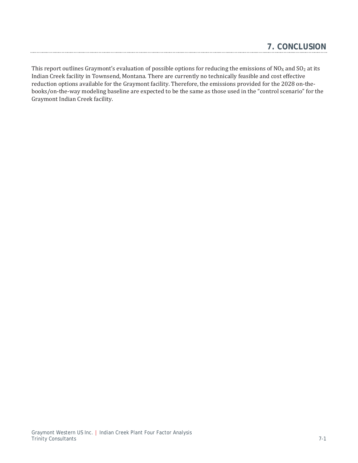This report outlines Graymont's evaluation of possible options for reducing the emissions of NO<sub>X</sub> and SO<sub>2</sub> at its Indian Creek facility in Townsend, Montana. There are currently no technically feasible and cost effective reduction options available for the Graymont facility. Therefore, the emissions provided for the 2028 on-thebooks/on-the-way modeling baseline are expected to be the same as those used in the "control scenario" for the Graymont Indian Creek facility.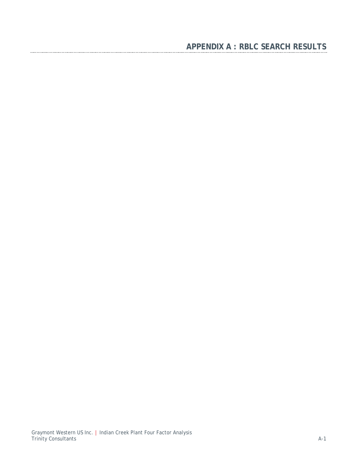# **APPENDIX A : RBLC SEARCH RESULTS**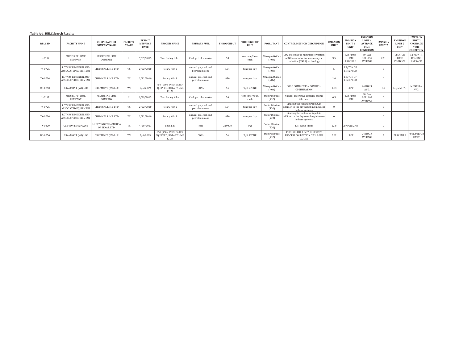| Table A-1. RBLC Search Results |                                                     |                                               |                                 |                                                 |                                                                     |                                          |                   |                                   |                          |                                                                                                                        |                                       |                                                      |                                                                                            |                                       |                                                      |                                                                                      |
|--------------------------------|-----------------------------------------------------|-----------------------------------------------|---------------------------------|-------------------------------------------------|---------------------------------------------------------------------|------------------------------------------|-------------------|-----------------------------------|--------------------------|------------------------------------------------------------------------------------------------------------------------|---------------------------------------|------------------------------------------------------|--------------------------------------------------------------------------------------------|---------------------------------------|------------------------------------------------------|--------------------------------------------------------------------------------------|
| <b>RBLC ID</b>                 | <b>FACILITY NAME</b>                                | <b>CORPORATE OR</b><br><b>COMPANY NAME</b>    | <b>FACILITY</b><br><b>STATE</b> | <b>PERMIT</b><br><b>ISSUANCE</b><br><b>DATE</b> | <b>PROCESS NAME</b>                                                 | PRIMARY FUEL                             | <b>THROUGHPUT</b> | <b>THROUGHPUT</b><br><b>IINIT</b> | <b>POLLUTANT</b>         | <b>CONTROL METHOD DESCRIPTION</b>                                                                                      | <b>EMISSION</b><br>LIMIT <sub>1</sub> | <b>EMISSION</b><br>LIMIT <sub>1</sub><br><b>UNIT</b> | <b>EMISSION</b><br>LIMIT <sub>1</sub><br><b>AVERAGE</b><br><b>TIME</b><br><b>CONDITION</b> | <b>EMISSION</b><br>LIMIT <sub>2</sub> | <b>EMISSION</b><br>LIMIT <sub>2</sub><br><b>UNIT</b> | <b>EMISSION</b><br>LIMIT <sub>2</sub><br><b>AVGERAGE</b><br>TIME<br><b>CONDITION</b> |
| IL-0117                        | MISSISSIPPI LIME<br>COMPANY                         | MISSISSIPPI LIME<br>COMPANY                   | IL                              | 9/29/2015                                       | <b>Two Rotary Kilns</b>                                             | Coal: petroleum coke                     | 50                | tons lime/hour<br>each            | Nitrogen Oxides<br>(NOx) | Low excess air to minimize formation<br>of NO <sub>x</sub> and selective non-catalytic<br>reduction (SNCR) technology. | 3.5                                   | LBS/TON<br><b>LIME</b><br>PRODUCE                    | $30-DAY$<br>ROLLING<br>AVERAGE                                                             | 2.61                                  | LBS/TON<br><b>LIME</b><br>PRODUCE                    | 12-MONTH<br><b>ROLLING</b><br><b>AVERAGE</b>                                         |
| TX-0726                        | ROTARY LIME KILN AND<br><b>ASSOCIATED EOUIPMEN'</b> | CHEMICAL LIME, LTD                            | TX                              | 2/22/2010                                       | Rotary Kiln 2                                                       | natural gas, coal, and<br>petroleum coke | 504               | tons per day                      | Nitrogen Oxides<br>(NOx) |                                                                                                                        |                                       | LB/TON OF<br><b>LIME PROD</b>                        |                                                                                            | $\Omega$                              |                                                      |                                                                                      |
| TX-0726                        | ROTARY LIME KILN AND<br>ASSOCIATED EQUIPMENT        | CHEMICAL LIME, LTD                            | TX                              | 2/22/2010                                       | Rotary Kiln 3                                                       | natural gas, coal, and<br>petroleum coke | 850               | tons per day                      | Nitrogen Oxides<br>(NOx) |                                                                                                                        | 2.6                                   | LB/TON OF<br>LIME PROD                               |                                                                                            | $\Omega$                              |                                                      |                                                                                      |
| WI-0250                        | <b>GRAYMONT</b> (WI) LLC                            | <b>GRAYMONT (WI) LLC</b>                      | WI                              | 2/6/2009                                        | P50 (S50). PREHEATER<br><b>EQUIPPED, ROTARY LIME</b><br><b>KILN</b> | COAL                                     | 54                | T/H STONE                         | Nitrogen Oxides<br>(NOx) | <b>GOOD COMBUSTION CONTROL</b><br>OPTIMIZATION                                                                         | 1.83                                  | LB/T                                                 | 24 HOUR<br>AVG.                                                                            | 0.7                                   | LB/MMBTU                                             | MONTHLY<br>AVG.                                                                      |
| IL-0117                        | MISSISSIPPI LIME<br>COMPANY                         | MISSISSIPPI LIME<br>COMPANY                   | L                               | 9/29/2015                                       | Two Rotary Kilns                                                    | Coal: petroleum coke                     | 50                | tons lime/hour.<br>each           | Sulfur Dioxide<br>(SO2)  | Natural absorptive capacity of lime<br>kiln dust.                                                                      | 0.5                                   | LBS/TON<br><b>LIME</b>                               | $30-DAY$<br>ROLLING<br>AVERAGE                                                             | $\Omega$                              |                                                      |                                                                                      |
| TX-0726                        | ROTARY LIME KILN AND<br><b>ASSOCIATED EOUIPMENT</b> | CHEMICAL LIME, LTD                            | TX                              | 2/22/2010                                       | Rotary Kiln 2                                                       | natural gas, coal, and<br>petroleum coke | 504               | tons per day                      | Sulfur Dioxide<br>(SO2)  | Limiting the fuel sulfur input, in<br>addition to the dry scrubbing inherent<br>in these systems.                      |                                       |                                                      |                                                                                            | $\Omega$                              |                                                      |                                                                                      |
| TX-0726                        | ROTARY LIME KILN AND<br>ASSOCIATED EQUIPMEN'        | CHEMICAL LIME, LTD                            | TX                              | 2/22/2010                                       | Rotary Kiln 3                                                       | natural gas, coal, and<br>petroleum coke | 850               | tons per day                      | Sulfur Dioxide<br>(SO2)  | Limiting the fuel sulfur input, in<br>addition to the dry scrubbing inherent<br>in these systems.                      |                                       |                                                      |                                                                                            | $\Omega$                              |                                                      |                                                                                      |
| TX-0820                        | <b>CLIFTON LIME PLANT</b>                           | <b>LHOIST NORTH AMERICA</b><br>OF TEXAS, LTD. | TX                              | 4/28/2017                                       | lime kiln                                                           | coal                                     | 219000            | t/yr                              | Sulfur Dioxide<br>(SO2)  | fuel sulfur limits                                                                                                     | 12.8                                  | LB/TON LIMI                                          |                                                                                            | $\Omega$                              |                                                      |                                                                                      |
| WI-0250                        | <b>GRAYMONT</b> (WI) LLC                            | <b>GRAYMONT (WI) LLC</b>                      | WI                              | 2/6/2009                                        | P50 (S50), PREHEATER<br>EOUIPPED, ROTARY LIME<br>KILN               | COAL                                     | 54                | T/H STONE                         | Sulfur Dioxide<br>(SO2)  | FUEL SULFUR LIMIT. INHERENT<br>PROCESS COLLECTION OF SULFUR<br>OXIDES.                                                 | 0.62                                  | LB/T                                                 | 24 HOUR<br>AVERAGE                                                                         |                                       | PERCENT S                                            | <b>FUEL SULFUR</b><br><b>LIMIT</b>                                                   |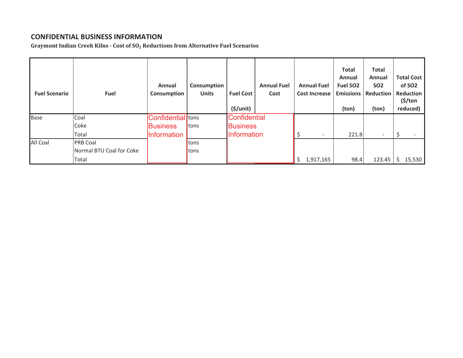### CONFIDENTIAL BUSINESS INFORMATION

**Graymont Indian Creek KilnsǦCost of SO2 Reductions from Alternative Fuel Scenarios**

| <b>Fuel Scenario</b> | <b>Fuel</b>              | Annual<br>Consumption | Consumption<br><b>Units</b> | <b>Fuel Cost</b><br>(5/unit) | <b>Annual Fuel</b><br>Cost | <b>Annual Fuel</b><br><b>Cost Increase</b> | <b>Total</b><br>Annual<br>Fuel SO <sub>2</sub><br><b>Emissions</b><br>(ton) | <b>Total</b><br>Annual<br><b>SO2</b><br>Reduction<br>(ton) | <b>Total Cost</b><br>of SO <sub>2</sub><br>Reduction<br>$(\$/ton)$<br>reduced) |
|----------------------|--------------------------|-----------------------|-----------------------------|------------------------------|----------------------------|--------------------------------------------|-----------------------------------------------------------------------------|------------------------------------------------------------|--------------------------------------------------------------------------------|
| Base                 | Coal                     | Confidential tons     |                             | Confidential                 |                            |                                            |                                                                             |                                                            |                                                                                |
|                      | Coke                     | <b>Business</b>       | <b>Itons</b>                | <b>Business</b>              |                            |                                            |                                                                             |                                                            |                                                                                |
|                      | Total                    | Information           |                             | <b>Information</b>           |                            |                                            | 221.8                                                                       | $\overline{\phantom{0}}$                                   |                                                                                |
| All Coal             | <b>PRB Coal</b>          |                       | <b>Itons</b>                |                              |                            |                                            |                                                                             |                                                            |                                                                                |
|                      | Normal BTU Coal for Coke |                       | <b>Itons</b>                |                              |                            |                                            |                                                                             |                                                            |                                                                                |
|                      | Total                    |                       |                             |                              |                            | Ś.<br>1,917,165                            | 98.4                                                                        | 123.45                                                     | 15,530                                                                         |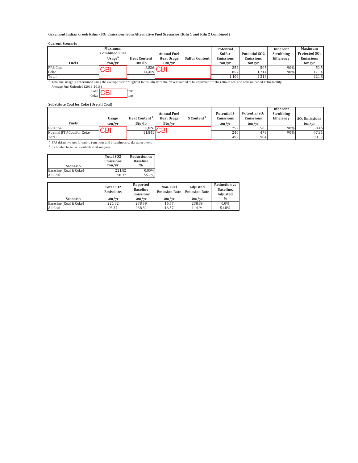**Graymont Indian Creek KilnsǦSO2 Emissions from Alternative Fuel Scenarios (Kiln 1 and Kiln 2 Combined)**

#### **Current Scenario**

|              | <b>Maximum</b>       |                     |                    |                       | Potential        |                      | Inherent   | <b>Maximum</b>            |
|--------------|----------------------|---------------------|--------------------|-----------------------|------------------|----------------------|------------|---------------------------|
|              | <b>Combined Fuel</b> |                     | <b>Annual Fuel</b> |                       | Sulfur           | <b>Potential SO2</b> | Scrubbing  | Projected SO <sub>2</sub> |
|              | Usage <sup>a</sup>   | <b>Heat Content</b> | <b>Heat Usage</b>  | <b>Sulfur Content</b> | <b>Emissions</b> | <b>Emissions</b>     | Efficiency | <b>Emissions</b>          |
| <b>Fuels</b> | ton/yr               | Btu/lb              | Btu/yr             |                       | ton/yr           | ton/vr               |            | ton/yr                    |
| PRB Coal     | CВI                  |                     | $8,826$ $\cap$     |                       | 252              | 505                  | 90%        | 50.5                      |
| Coke         |                      | 14.409              |                    |                       | 857              | 1.714                | 90%        | 171.4                     |
| Total        |                      |                     |                    |                       | 1,109            | 2,218                |            | 221.8                     |

<sup>a</sup> Total fuel usage is determined using the average fuel throughput to the kiln, with the ratio assumed to be equivalent to the ratio of coal and coke unloaded at the facility.<br>Average Fuel Unloaded (2016-2018)

 $\frac{\text{Coal:}}{\text{CBI}}$   $\begin{bmatrix} \text{tons} \\ \text{tons} \end{bmatrix}$  $\frac{C_{\text{oke}}}{\text{tons}}$ 

**Substitute Coal for Coke (Use all Coal)**

|                          |                                  |                                  |                                    |                        |                    |                           | Inherent   |                 |
|--------------------------|----------------------------------|----------------------------------|------------------------------------|------------------------|--------------------|---------------------------|------------|-----------------|
|                          |                                  |                                  | <b>Annual Fuel</b>                 |                        | <b>Potential S</b> | Potential SO <sub>2</sub> | Scrubbing  |                 |
|                          | <b>Usage</b>                     | <b>Heat Content</b> <sup>a</sup> | <b>Heat Usage</b>                  | S Content <sup>b</sup> | <b>Emissions</b>   | <b>Emissions</b>          | Efficiency | $SO2$ Emissions |
| <b>Fuels</b>             | ton/vr                           | Btu/lb                           | Btu/yr                             |                        | ton/vr             | ton/yr                    |            | ton/vr          |
| <b>PRB Coal</b>          | $\mathsf{C}\mathsf{B}\mathsf{I}$ |                                  | $8,826$ $\cap$                     |                        | 252                | 505                       | 90%        | 50.46           |
| Normal BTU Coal for Coke |                                  |                                  | $\overline{\overline{11,841}}$ UDI |                        | 240                | 479                       | 90%        | 47.91           |
| Total                    |                                  |                                  |                                    |                        | 492                | 984                       |            | 98.37           |

 $^{\rm a}$  EPA default values for sub-bituminous and bituminous coal, respectively.

**b** Estimated based on available coal analyses.

| Scenario               | <b>Total SO2</b><br><b>Emissions</b><br>ton/vr | <b>Reduction vs</b><br><b>Baseline</b><br>$\frac{0}{0}$ |
|------------------------|------------------------------------------------|---------------------------------------------------------|
| Baseline (Coal & Coke) | 221.82                                         | $0.00\%$                                                |
| All Coal               | 98.37                                          | 55.7%                                                   |

|                        | <b>Total SO2</b><br><b>Emissions</b> | Reported<br><b>Baseline</b><br><b>Emissions</b> | Non-Fuel<br><b>Emission Rate</b> | Adjusted<br><b>Emission Rate</b> | <b>Reduction vs</b><br>Baseline.<br>Adjusted |
|------------------------|--------------------------------------|-------------------------------------------------|----------------------------------|----------------------------------|----------------------------------------------|
| Scenario               | ton/vr                               | ton/vr                                          | ton/vr                           | ton/vr                           | $\frac{0}{0}$                                |
| Baseline (Coal & Coke) | 221.82                               | 238.39                                          | 16.57                            | 238.39                           | $0.0\%$                                      |
| All Coal               | 98.37                                | 238.39                                          | 16.57                            | 114.94                           | 51.8%                                        |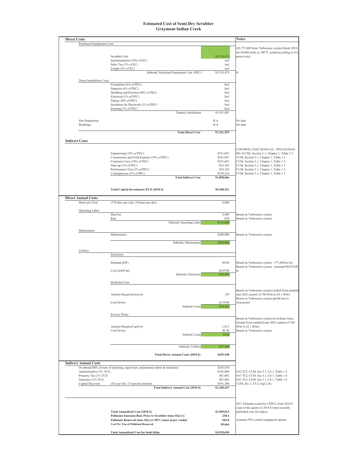#### **Estimated Cost of Semi-Dry Scrubber** Graymont Indian Creek

| <b>Direct Costs</b>                         |                                                                                                                 |                       | <b>Notes</b>                                                                                 |
|---------------------------------------------|-----------------------------------------------------------------------------------------------------------------|-----------------------|----------------------------------------------------------------------------------------------|
| <b>Purchased Equipment Costs</b>            |                                                                                                                 |                       |                                                                                              |
|                                             |                                                                                                                 |                       | (\$5,775,000 from Turbosonic system Quote 2010                                               |
|                                             | Scrubber Unit                                                                                                   | \$5,310,474           | for 69,000 acfm $@$ 300°F, scaled according to 0.6<br>power rule)                            |
|                                             | Instrumentation (10% of EC)                                                                                     | incl                  |                                                                                              |
|                                             | Sales Tax (3% of EC)                                                                                            | incl                  |                                                                                              |
|                                             | Freight (5% of EC)                                                                                              | incl                  |                                                                                              |
|                                             | Subtotal, Purchased Equipment Cost (PEC)                                                                        | \$5,310,474           | B                                                                                            |
| <b>Direct Installation Costs</b>            |                                                                                                                 |                       |                                                                                              |
|                                             | Foundation (6% of PEC)                                                                                          | Incl                  |                                                                                              |
|                                             | Supports (6% of PEC)<br>Handling and Erection (40% of PEC)                                                      | Incl<br>Incl          |                                                                                              |
|                                             | Electrical (1% of PEC)                                                                                          | Incl                  |                                                                                              |
|                                             | Piping (30% of PEC)                                                                                             | Incl                  |                                                                                              |
|                                             | Insulation for Ductwork (1% of PEC)                                                                             | Incl                  |                                                                                              |
|                                             | Painting (1% of PEC)<br>Turnkey Installation                                                                    | Incl<br>\$1,931,081   |                                                                                              |
|                                             |                                                                                                                 |                       |                                                                                              |
| Site Preparation                            |                                                                                                                 | N/A                   | No data                                                                                      |
| <b>Buildings</b>                            |                                                                                                                 | N/A                   | No data                                                                                      |
|                                             | <b>Total Direct Cost</b>                                                                                        | \$7,241,555           |                                                                                              |
|                                             |                                                                                                                 |                       |                                                                                              |
| <b>Indirect Costs</b>                       |                                                                                                                 |                       |                                                                                              |
|                                             |                                                                                                                 |                       | CONTROL COST MANUAL - EPA/452/B-02-                                                          |
|                                             | Engineering (10% of PEC)                                                                                        | \$531,047             | 001 (CCM), Section 5.1, Chapter 1, Table 1.3                                                 |
|                                             | Construction and Field Expense (10% of PEC)                                                                     | \$531,047             | CCM, Section 5.1, Chapter 1, Table 1.3                                                       |
|                                             | Contractor Fees (10% of PEC)                                                                                    | \$531,047             | CCM, Section 5.1, Chapter 1, Table 1.3                                                       |
|                                             | Start-up (1% of PEC)                                                                                            | \$53,105              | CCM, Section 5.1, Chapter 1, Table 1.3                                                       |
|                                             | Performance Test (1% of PEC)<br>Contingencies (3% of PEC)                                                       | \$53,105<br>\$159,314 | CCM, Section 5.1, Chapter 1, Table 1.3<br>CCM, Section 5.1, Chapter 1, Table 1.3             |
|                                             | <b>Total Indirect Cost</b>                                                                                      | \$1,858,666           |                                                                                              |
|                                             |                                                                                                                 |                       |                                                                                              |
|                                             |                                                                                                                 |                       |                                                                                              |
|                                             | Total Capital Investment (TCI) (2010 \$)                                                                        | \$9,100,221           |                                                                                              |
| <b>Direct Annual Costs</b>                  |                                                                                                                 |                       |                                                                                              |
| Hours per Year                              | (330 days per year, 24 hours per day)                                                                           | 8,040                 |                                                                                              |
|                                             |                                                                                                                 |                       |                                                                                              |
| Operating Labor                             | Man-hrs                                                                                                         | 3,840                 | Based on Turbosonic system                                                                   |
|                                             | Rate                                                                                                            | \$50                  | Based on Turbosonic system                                                                   |
|                                             | Subtotal, Operating Labor                                                                                       | \$192,000             |                                                                                              |
|                                             |                                                                                                                 |                       |                                                                                              |
| Maintenance                                 | Maintenance                                                                                                     | \$200,000             | Based on Turbosonic system                                                                   |
|                                             |                                                                                                                 |                       |                                                                                              |
|                                             | Subtotal, Maintenance                                                                                           | \$200,000             |                                                                                              |
| Utilities                                   |                                                                                                                 |                       |                                                                                              |
|                                             | Electricity                                                                                                     |                       |                                                                                              |
|                                             |                                                                                                                 |                       |                                                                                              |
|                                             | Demand (kW)                                                                                                     | 40.84                 | Based on Turbosonic system - 377,600 kw-hr<br>Based on Turbosonic system - assumed \$0.07/kW |
|                                             | Cost (\$/kW-hr)                                                                                                 | \$0.0700              | hr                                                                                           |
|                                             | Subtotal, Electricity                                                                                           | \$22,984              |                                                                                              |
|                                             |                                                                                                                 |                       |                                                                                              |
|                                             | Hydrated Lime                                                                                                   |                       |                                                                                              |
|                                             |                                                                                                                 |                       | Based on Turbosonic system (scaled from modeler                                              |
|                                             | Amount Required (ton/yr)                                                                                        | 129                   | max SO2 content of 760 lb/hr to 62.1 lb/hr)                                                  |
|                                             | Cost(S/ton)                                                                                                     | \$110.00              | Based on Turbosonic system (profit lost to<br>Graymont)                                      |
|                                             | Subtotal, Lime                                                                                                  | \$14,201              |                                                                                              |
|                                             |                                                                                                                 |                       |                                                                                              |
|                                             | Process Water                                                                                                   |                       |                                                                                              |
|                                             |                                                                                                                 |                       | Based on Turbosonic system (to hydrate lime).<br>(Scaled from modeled max SO2 content of 760 |
|                                             | Amount Required (gal/yr)                                                                                        | 1,812                 | lb/hr to 62.1 lb/hr).                                                                        |
|                                             | Cost(S/ton)                                                                                                     | \$0.20                | Based on Turbosonic system                                                                   |
|                                             | Subtotal, Lime                                                                                                  | \$362                 |                                                                                              |
|                                             |                                                                                                                 |                       |                                                                                              |
|                                             | Subtotal, Utilities                                                                                             | \$37,548              |                                                                                              |
|                                             |                                                                                                                 |                       |                                                                                              |
|                                             | <b>Total Direct Annual Costs (2010 S)</b>                                                                       | \$429,548             |                                                                                              |
| <b>Indirect Annual Costs</b>                |                                                                                                                 |                       |                                                                                              |
|                                             | Overhead (60% of sum of operating, supervisor, maintenance labor & materials)                                   | \$243,938             |                                                                                              |
| Administrative (2% TCI)                     |                                                                                                                 | \$182,004             | 0.02 TCI, CCM, Sec 5.1, Ch 1, Table 1.4                                                      |
| Property Tax (1% TCI)<br>Insurance (1% TCI) |                                                                                                                 | \$91,002              | 0.01 TCI, CCM, Sec 5.1, Ch 1, Table 1.4                                                      |
| Capital Recovery                            | (20 year life, 5.5 percent interest)                                                                            | \$91,002<br>\$761,500 | 0.01 TCI, CCM, Sec 5.1, Ch 1, Table 1.4<br>CCM, Sec 1, Ch 2, Eqn 2.8a                        |
|                                             | <b>Total Indirect Annual Cost (2010 \$)</b>                                                                     | \$1,369,447           |                                                                                              |
|                                             |                                                                                                                 |                       |                                                                                              |
|                                             |                                                                                                                 |                       |                                                                                              |
|                                             |                                                                                                                 |                       | 2011 Estimate scaled by CEPCI, from 2010 \$                                                  |
|                                             |                                                                                                                 |                       | (year of the quote) to 2018 \$ (most recently                                                |
|                                             | <b>Total Annualized Cost (2018 \$)</b>                                                                          | \$1,969,815           | published year for index).                                                                   |
|                                             | Pollutant Emission Rate Prior to Scrubber (tons SO <sub>2</sub> /yr)                                            | 238.4                 | Assumes 95% control equipment uptime                                                         |
|                                             | Pollutant Removed (tons SO <sub>2</sub> /yr) 90% removal per vendor<br><b>Cost Per Ton of Pollutant Removed</b> | 203.8<br>\$9,664      |                                                                                              |
|                                             |                                                                                                                 |                       |                                                                                              |
|                                             |                                                                                                                 |                       |                                                                                              |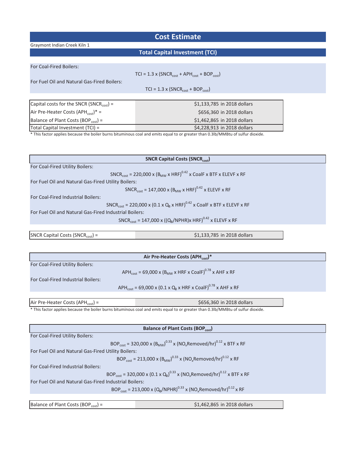### **Cost Estimate**

Graymont Indian Creek Kiln 1

#### **Total Capital Investment (TCI)**

| For Coal-Fired Boilers:                                                                                                          |                                                            |  |  |  |
|----------------------------------------------------------------------------------------------------------------------------------|------------------------------------------------------------|--|--|--|
|                                                                                                                                  | $TCI = 1.3 \times (SNCR_{cost} + APH_{cost} + BOP_{cost})$ |  |  |  |
| For Fuel Oil and Natural Gas-Fired Boilers:                                                                                      |                                                            |  |  |  |
|                                                                                                                                  | $TCI = 1.3 \times (SNCR_{cost} + BOP_{cost})$              |  |  |  |
|                                                                                                                                  |                                                            |  |  |  |
| Capital costs for the SNCR (SNCR <sub>cost</sub> ) =                                                                             | \$1,133,785 in 2018 dollars                                |  |  |  |
| Air Pre-Heater Costs (APH <sub>cost</sub> )* =                                                                                   | \$656,360 in 2018 dollars                                  |  |  |  |
| Balance of Plant Costs (BOP $_{cost}$ ) =                                                                                        | \$1,462,865 in 2018 dollars                                |  |  |  |
| Total Capital Investment (TCI) =                                                                                                 | \$4,228,913 in 2018 dollars                                |  |  |  |
| * This factor applies because the boiler burns bituminous coal and emits equal to or greater than 0.3lb/MMBtu of sulfur dioxide. |                                                            |  |  |  |

 $\textsf{SNCR}$  Capital Costs (SNCR<sub>cost</sub>) =  $\textsf{SNCR}$ <sub>cost</sub>) =  $\textsf{SNCR}$  $SNCR_{cost} = 147,000 \times ((Q_B/NPHR)x HRF)^{0.42} \times ELEVF \times RF$ For Fuel Oil and Natural Gas-Fired Industrial Boilers:  $SNCR_{cost} = 220,000 \times (B_{MW} \times HRF)^{0.42} \times CoalF \times BTF \times ELEVF \times RF$ For Fuel Oil and Natural Gas-Fired Utility Boilers:  $SNCR_{cost} = 147,000 \times (B_{MW} \times HRF)^{0.42} \times ELEVF \times RF$ For Coal-Fired Industrial Boilers:  $SNCR_{cost} = 220,000 \times (0.1 \times Q_B \times HRF)^{0.42} \times CoalF \times BTF \times ELEVF \times RF$ SNCR Capital Costs (SNCR<sub>cost</sub>) For Coal-Fired Utility Boilers:

|                                                        | Air Pre-Heater Costs (APH <sub>cost</sub> )*                                                                                      |
|--------------------------------------------------------|-----------------------------------------------------------------------------------------------------------------------------------|
| For Coal-Fired Utility Boilers:                        |                                                                                                                                   |
|                                                        | APH <sub>cost</sub> = 69,000 x (B <sub>MW</sub> x HRF x CoalF) <sup>0.78</sup> x AHF x RF                                         |
| For Coal-Fired Industrial Boilers:                     |                                                                                                                                   |
|                                                        | APH <sub>cost</sub> = 69,000 x (0.1 x Q <sub>B</sub> x HRF x CoalF) <sup>0.78</sup> x AHF x RF                                    |
|                                                        |                                                                                                                                   |
| Air Pre-Heater Costs (APH <sub>cost</sub> ) =          | \$656,360 in 2018 dollars                                                                                                         |
|                                                        | * This factor applies because the boiler burns bituminous coal and emits equal to or greater than 0.3lb/MMBtu of sulfur dioxide.  |
|                                                        |                                                                                                                                   |
|                                                        | <b>Balance of Plant Costs (BOP</b> <sub>cost</sub> )                                                                              |
|                                                        |                                                                                                                                   |
| For Coal-Fired Utility Boilers:                        |                                                                                                                                   |
|                                                        | BOP <sub>cost</sub> = 320,000 x (B <sub>MW</sub> ) <sup>0.33</sup> x (NO <sub>x</sub> Removed/hr) <sup>0.12</sup> x BTF x RF      |
| For Fuel Oil and Natural Gas-Fired Utility Boilers:    |                                                                                                                                   |
|                                                        | BOP <sub>cost</sub> = 213,000 x (B <sub>MW</sub> ) <sup>0.33</sup> x (NO <sub>x</sub> Removed/hr) <sup>0.12</sup> x RF            |
| For Coal-Fired Industrial Boilers:                     |                                                                                                                                   |
|                                                        | BOP <sub>cost</sub> = 320,000 x (0.1 x Q <sub>B</sub> ) <sup>0.33</sup> x (NO <sub>x</sub> Removed/hr) <sup>0.12</sup> x BTF x RF |
| For Fuel Oil and Natural Gas-Fired Industrial Boilers: |                                                                                                                                   |

 $BOP_{cost} = 213,000 \times (Q_{B}/NPHR)^{0.33} \times (NO_{x}Removed/hr)^{0.12} \times RF$ 

ĂůĂŶĐĞŽĨWůĂŶƚŽƐƚƐ;KWĐŽƐƚͿс Ψϭ͕ϰϲϮ͕ϴϲϱ ŝŶϮϬϭϴĚŽůůĂƌƐ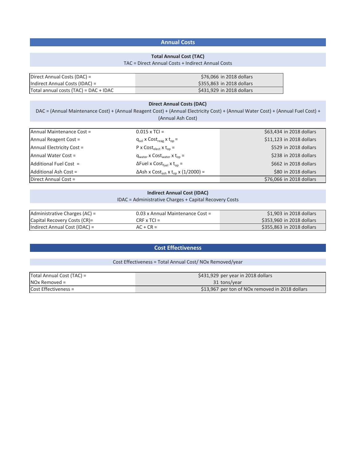### **Annual Costs**

#### **Total Annual Cost (TAC)**

#### TAC = Direct Annual Costs + Indirect Annual Costs

| Direct Annual Costs (DAC) =           | \$76,066 in 2018 dollars  |
|---------------------------------------|---------------------------|
| Indirect Annual Costs (IDAC) =        | \$355,863 in 2018 dollars |
| Total annual costs (TAC) = DAC + IDAC | \$431,929 in 2018 dollars |

#### **Direct Annual Costs (DAC)**

DAC = (Annual Maintenance Cost) + (Annual Reagent Cost) + (Annual Electricity Cost) + (Annual Water Cost) + (Annual Fuel Cost) + (Annual Ash Cost)

| Annual Maintenance Cost = | $0.015 \times TCI =$                                              | \$63,434 in 2018 dollars |
|---------------------------|-------------------------------------------------------------------|--------------------------|
| Annual Reagent Cost =     | $q_{sol}$ x Cost <sub>reag</sub> x t <sub>op</sub> =              | \$11,123 in 2018 dollars |
| Annual Electricity Cost = | $P \times Cost_{elect} \times t_{on} =$                           | \$529 in 2018 dollars    |
| Annual Water Cost =       | $q_{water}$ x $Cost_{water}$ x $t_{on}$ =                         | \$238 in 2018 dollars    |
| Additional Fuel Cost =    | $\Delta$ Fuel x Cost <sub>fuel</sub> x t <sub>op</sub> =          | \$662 in 2018 dollars    |
| Additional Ash Cost =     | $\Delta$ Ash x Cost <sub>ash</sub> x t <sub>op</sub> x (1/2000) = | \$80 in 2018 dollars     |
| Direct Annual Cost =      |                                                                   | \$76,066 in 2018 dollars |

#### **Indirect Annual Cost (IDAC)**

#### IDAC = Administrative Charges + Capital Recovery Costs

| Administrative Charges (AC) = | 0.03 x Annual Maintenance Cost = | \$1,903 in 2018 dollars                 |
|-------------------------------|----------------------------------|-----------------------------------------|
| Capital Recovery Costs (CR)=  | $CRF \times TCl =$               | $\frac{1}{2}$ \$353,960 in 2018 dollars |
| Indirect Annual Cost (IDAC) = | $AC + CR =$                      | \$355,863 in 2018 dollars               |

#### **Cost Effectiveness**

#### Cost Effectiveness = Total Annual Cost/ NOx Removed/year

| Total Annual Cost (TAC) = | $\lesssim$ \$431,929 per year in 2018 dollars   |
|---------------------------|-------------------------------------------------|
| $INOx$ Removed =          | 31 tons/year                                    |
| Cost Effectiveness =      | \$13,967 per ton of NOx removed in 2018 dollars |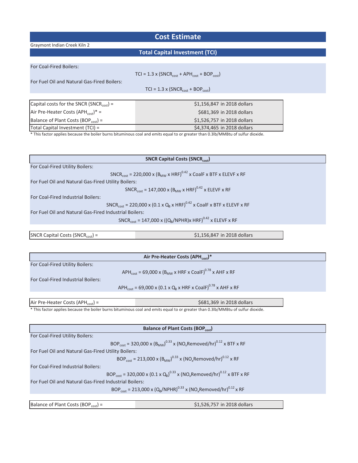# **Cost Estimate**

Graymont Indian Creek Kiln 2

# **Total Capital Investment (TCI)**

| For Coal-Fired Boilers:                              |                                                                                                                               |
|------------------------------------------------------|-------------------------------------------------------------------------------------------------------------------------------|
|                                                      | $TCI = 1.3 \times (SNCR_{cost} + APH_{cost} + BOP_{cost})$                                                                    |
| For Fuel Oil and Natural Gas-Fired Boilers:          |                                                                                                                               |
|                                                      | $TCI = 1.3 \times (SNCR_{cost} + BOP_{cost})$                                                                                 |
|                                                      |                                                                                                                               |
| Capital costs for the SNCR (SNCR <sub>cost</sub> ) = | \$1,156,847 in 2018 dollars                                                                                                   |
| Air Pre-Heater Costs $(APH_{cost})^* =$              | \$681,369 in 2018 dollars                                                                                                     |
| Balance of Plant Costs (BOP <sub>cost</sub> ) =      | \$1,526,757 in 2018 dollars                                                                                                   |
| Total Capital Investment (TCI) =                     | \$4,374,465 in 2018 dollars                                                                                                   |
|                                                      | This factor annlies because the boiler burns bituminous coal and emits equal to or greater than 0.31b/MMRtu of sulfur diovide |

nd emits equal to or greater than 0.3lb/MMBtu of sul

|                                                                                                                        | <b>SNCR Capital Costs (SNCRcost)</b>                                                                                              |  |
|------------------------------------------------------------------------------------------------------------------------|-----------------------------------------------------------------------------------------------------------------------------------|--|
| For Coal-Fired Utility Boilers:                                                                                        |                                                                                                                                   |  |
|                                                                                                                        | SNCR <sub>cost</sub> = 220,000 x (B <sub>MW</sub> x HRF) <sup>0.42</sup> x CoalF x BTF x ELEVF x RF                               |  |
| For Fuel Oil and Natural Gas-Fired Utility Boilers:                                                                    |                                                                                                                                   |  |
|                                                                                                                        | $SNCR_{cost} = 147,000 \times (B_{MW} \times HRF)^{0.42} \times ELEVF \times RF$                                                  |  |
| For Coal-Fired Industrial Boilers:                                                                                     |                                                                                                                                   |  |
|                                                                                                                        | SNCR <sub>cost</sub> = 220,000 x (0.1 x Q <sub>B</sub> x HRF) <sup>0.42</sup> x CoalF x BTF x ELEVF x RF                          |  |
| For Fuel Oil and Natural Gas-Fired Industrial Boilers:                                                                 |                                                                                                                                   |  |
|                                                                                                                        | SNCR <sub>cost</sub> = 147,000 x ((Q <sub>R</sub> /NPHR)x HRF) <sup>0.42</sup> x ELEVF x RF                                       |  |
|                                                                                                                        |                                                                                                                                   |  |
| SNCR Capital Costs (SNCR <sub>cost</sub> ) =                                                                           | \$1,156,847 in 2018 dollars                                                                                                       |  |
|                                                                                                                        |                                                                                                                                   |  |
|                                                                                                                        |                                                                                                                                   |  |
|                                                                                                                        | Air Pre-Heater Costs (APH <sub>cost</sub> )*                                                                                      |  |
| For Coal-Fired Utility Boilers:                                                                                        |                                                                                                                                   |  |
|                                                                                                                        | APH <sub>cost</sub> = 69,000 x (B <sub>MW</sub> x HRF x CoalF) <sup>0.78</sup> x AHF x RF                                         |  |
| For Coal-Fired Industrial Boilers:                                                                                     |                                                                                                                                   |  |
|                                                                                                                        | APH <sub>cost</sub> = 69,000 x (0.1 x Q <sub>B</sub> x HRF x CoalF) <sup>0.78</sup> x AHF x RF                                    |  |
|                                                                                                                        |                                                                                                                                   |  |
| Air Pre-Heater Costs (APH <sub>cost</sub> ) =                                                                          | \$681,369 in 2018 dollars                                                                                                         |  |
|                                                                                                                        | * This factor applies because the boiler burns bituminous coal and emits equal to or greater than 0.3lb/MMBtu of sulfur dioxide.  |  |
|                                                                                                                        |                                                                                                                                   |  |
|                                                                                                                        |                                                                                                                                   |  |
|                                                                                                                        | <b>Balance of Plant Costs (BOPcost)</b>                                                                                           |  |
| For Coal-Fired Utility Boilers:                                                                                        |                                                                                                                                   |  |
|                                                                                                                        | BOP <sub>cost</sub> = 320,000 x (B <sub>MW</sub> ) <sup>0.33</sup> x (NO <sub>x</sub> Removed/hr) <sup>0.12</sup> x BTF x RF      |  |
| For Fuel Oil and Natural Gas-Fired Utility Boilers:                                                                    |                                                                                                                                   |  |
| BOP <sub>cost</sub> = 213,000 x (B <sub>MW</sub> ) <sup>0.33</sup> x (NO <sub>x</sub> Removed/hr) <sup>0.12</sup> x RF |                                                                                                                                   |  |
| For Coal-Fired Industrial Boilers:                                                                                     |                                                                                                                                   |  |
|                                                                                                                        | BOP <sub>cost</sub> = 320,000 x (0.1 x Q <sub>B</sub> ) <sup>0.33</sup> x (NO <sub>x</sub> Removed/hr) <sup>0.12</sup> x BTF x RF |  |
| For Fuel Oil and Natural Gas-Fired Industrial Boilers:                                                                 |                                                                                                                                   |  |
|                                                                                                                        | BOP <sub>cost</sub> = 213,000 x (Q <sub>B</sub> /NPHR) <sup>0.33</sup> x (NO <sub>x</sub> Removed/hr) <sup>0.12</sup> x RF        |  |
|                                                                                                                        |                                                                                                                                   |  |
| Balance of Plant Costs (BOP <sub>cost</sub> ) =                                                                        | \$1,526,757 in 2018 dollars                                                                                                       |  |
|                                                                                                                        |                                                                                                                                   |  |